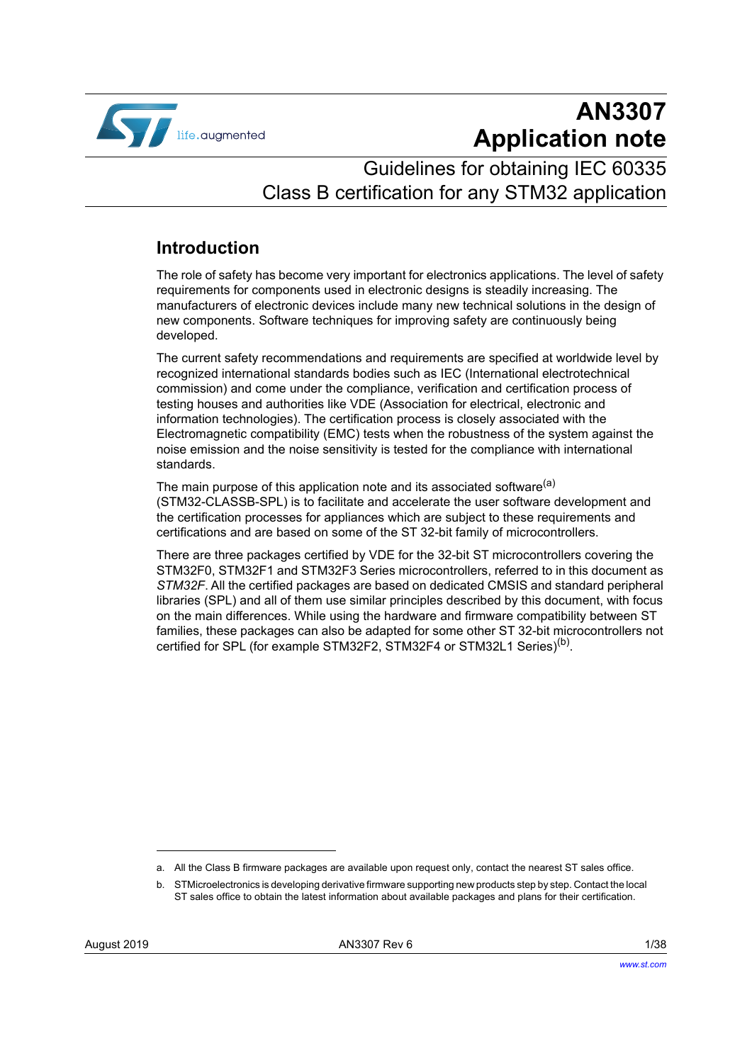

# **AN3307 Application note**

# Guidelines for obtaining IEC 60335 Class B certification for any STM32 application

## **Introduction**

The role of safety has become very important for electronics applications. The level of safety requirements for components used in electronic designs is steadily increasing. The manufacturers of electronic devices include many new technical solutions in the design of new components. Software techniques for improving safety are continuously being developed.

The current safety recommendations and requirements are specified at worldwide level by recognized international standards bodies such as IEC (International electrotechnical commission) and come under the compliance, verification and certification process of testing houses and authorities like VDE (Association for electrical, electronic and information technologies). The certification process is closely associated with the Electromagnetic compatibility (EMC) tests when the robustness of the system against the noise emission and the noise sensitivity is tested for the compliance with international standards.

The main purpose of this application note and its associated software<sup>(a)</sup> (STM32-CLASSB-SPL) is to facilitate and accelerate the user software development and the certification processes for appliances which are subject to these requirements and certifications and are based on some of the ST 32-bit family of microcontrollers.

There are three packages certified by VDE for the 32-bit ST microcontrollers covering the STM32F0, STM32F1 and STM32F3 Series microcontrollers, referred to in this document as *STM32F*. All the certified packages are based on dedicated CMSIS and standard peripheral libraries (SPL) and all of them use similar principles described by this document, with focus on the main differences. While using the hardware and firmware compatibility between ST families, these packages can also be adapted for some other ST 32-bit microcontrollers not certified for SPL (for example STM32F2, STM32F4 or STM32L1 Series)<sup>(b)</sup>.

a. All the Class B firmware packages are available upon request only, contact the nearest ST sales office.

b. STMicroelectronics is developing derivative firmware supporting new products step by step. Contact the local ST sales office to obtain the latest information about available packages and plans for their certification.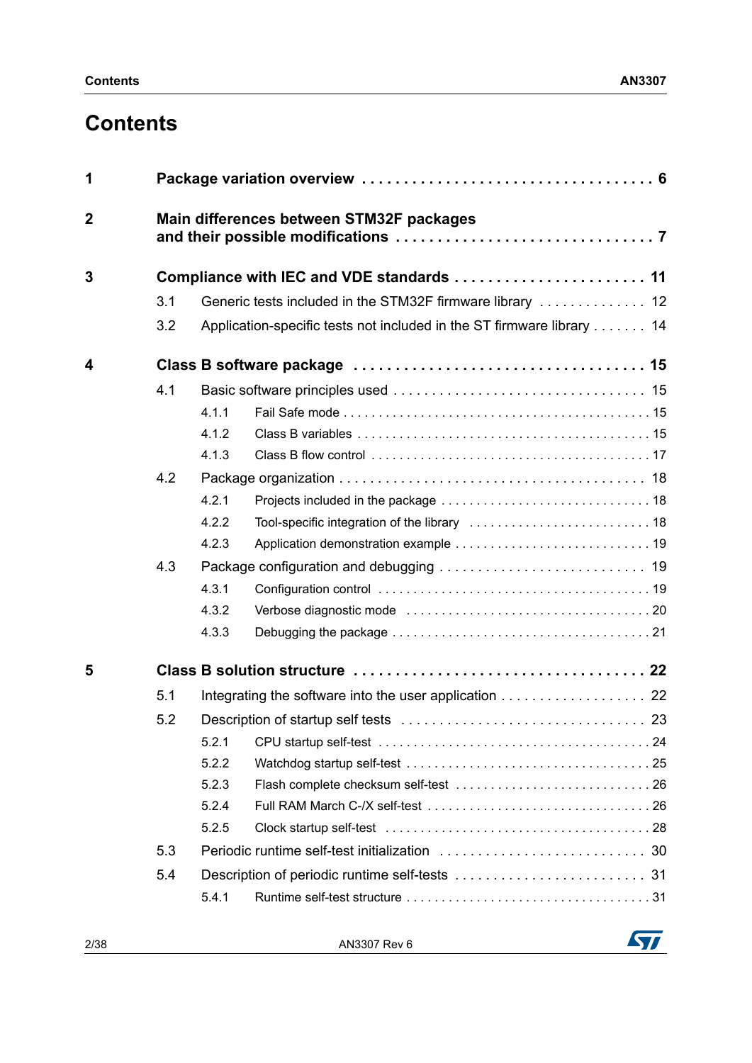# **Contents**

| 1              |     |                                          |                                                                       |  |  |  |  |  |  |
|----------------|-----|------------------------------------------|-----------------------------------------------------------------------|--|--|--|--|--|--|
| $\overline{2}$ |     | Main differences between STM32F packages |                                                                       |  |  |  |  |  |  |
| 3              |     |                                          | Compliance with IEC and VDE standards  11                             |  |  |  |  |  |  |
|                | 3.1 |                                          |                                                                       |  |  |  |  |  |  |
|                | 3.2 |                                          | Application-specific tests not included in the ST firmware library 14 |  |  |  |  |  |  |
| 4              |     |                                          |                                                                       |  |  |  |  |  |  |
|                | 4.1 |                                          |                                                                       |  |  |  |  |  |  |
|                |     | 4.1.1                                    |                                                                       |  |  |  |  |  |  |
|                |     | 4.1.2                                    |                                                                       |  |  |  |  |  |  |
|                |     | 4.1.3                                    |                                                                       |  |  |  |  |  |  |
|                | 4.2 |                                          |                                                                       |  |  |  |  |  |  |
|                |     | 4.2.1                                    |                                                                       |  |  |  |  |  |  |
|                |     | 4.2.2                                    |                                                                       |  |  |  |  |  |  |
|                |     | 4.2.3                                    |                                                                       |  |  |  |  |  |  |
|                | 4.3 |                                          |                                                                       |  |  |  |  |  |  |
|                |     | 4.3.1                                    |                                                                       |  |  |  |  |  |  |
|                |     | 4.3.2                                    |                                                                       |  |  |  |  |  |  |
|                |     | 4.3.3                                    |                                                                       |  |  |  |  |  |  |
| 5              |     |                                          |                                                                       |  |  |  |  |  |  |
|                | 5.1 |                                          | Integrating the software into the user application 22                 |  |  |  |  |  |  |
|                | 5.2 |                                          |                                                                       |  |  |  |  |  |  |
|                |     | 5.2.1                                    |                                                                       |  |  |  |  |  |  |
|                |     | 5.2.2                                    |                                                                       |  |  |  |  |  |  |
|                |     | 5.2.3                                    |                                                                       |  |  |  |  |  |  |
|                |     | 5.2.4                                    |                                                                       |  |  |  |  |  |  |
|                |     | 5.2.5                                    |                                                                       |  |  |  |  |  |  |
|                | 5.3 |                                          |                                                                       |  |  |  |  |  |  |
|                | 5.4 |                                          |                                                                       |  |  |  |  |  |  |
|                |     | 5.4.1                                    |                                                                       |  |  |  |  |  |  |

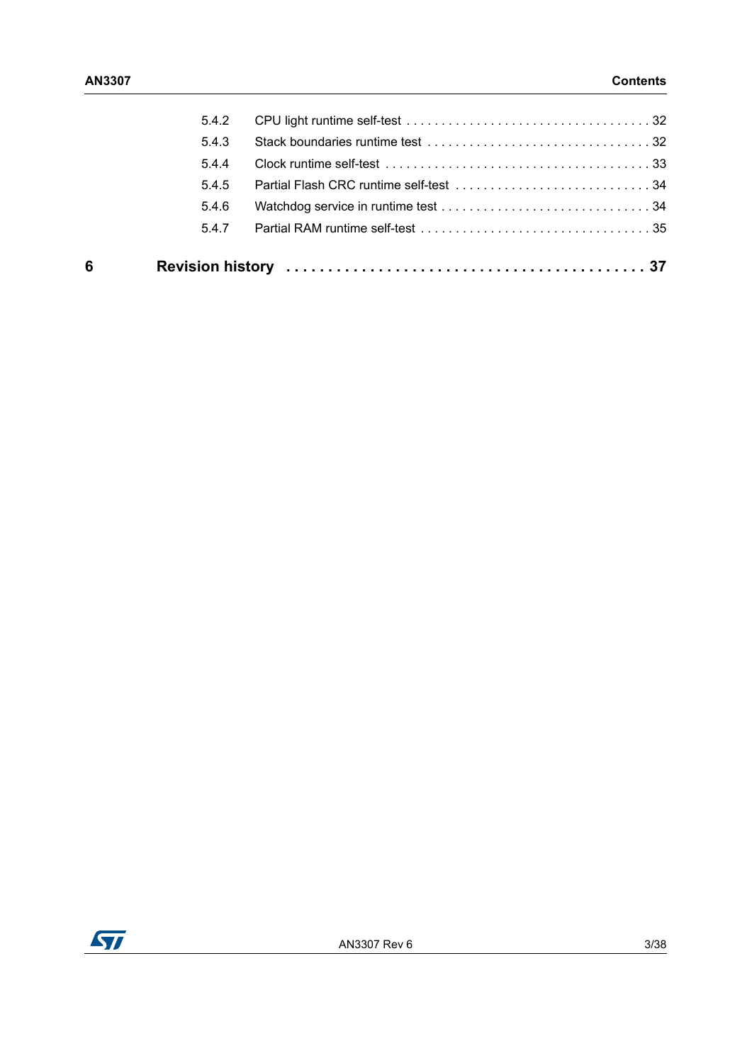| 6 |       |  |
|---|-------|--|
|   | 5.4.7 |  |
|   | 5.4.6 |  |
|   | 5.4.5 |  |
|   | 544   |  |
|   | 5.4.3 |  |
|   | 5.4.2 |  |
|   |       |  |

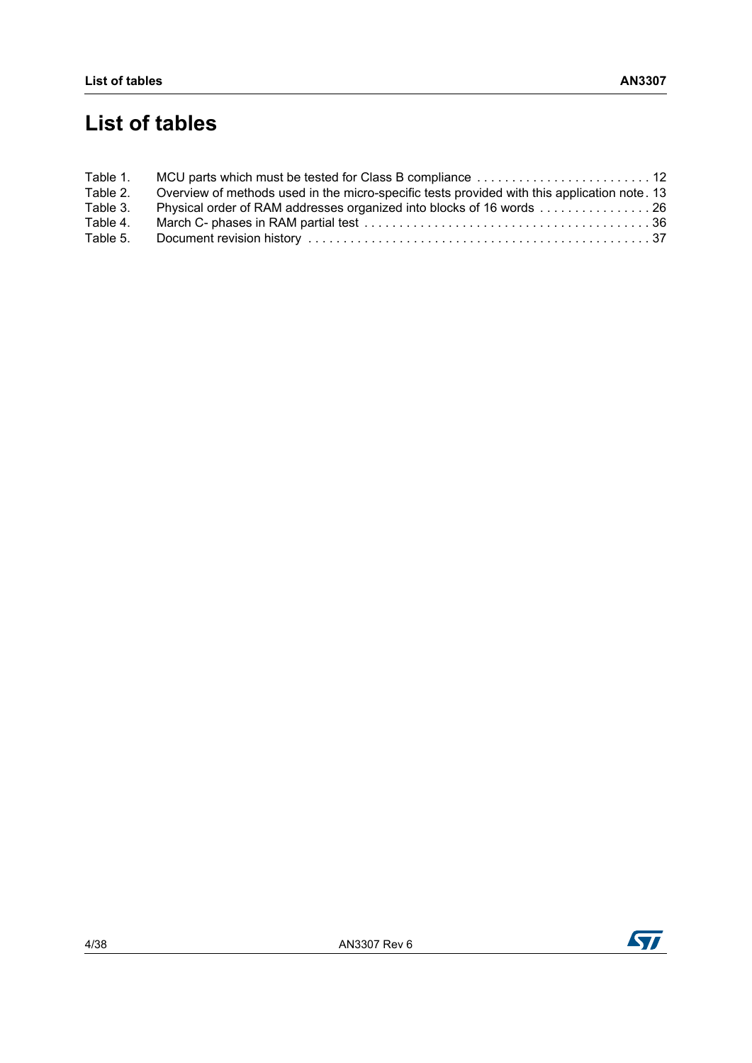# **List of tables**

| Table 1. |                                                                                              |  |
|----------|----------------------------------------------------------------------------------------------|--|
| Table 2. | Overview of methods used in the micro-specific tests provided with this application note. 13 |  |
| Table 3. | Physical order of RAM addresses organized into blocks of 16 words 26                         |  |
| Table 4. |                                                                                              |  |
| Table 5. |                                                                                              |  |

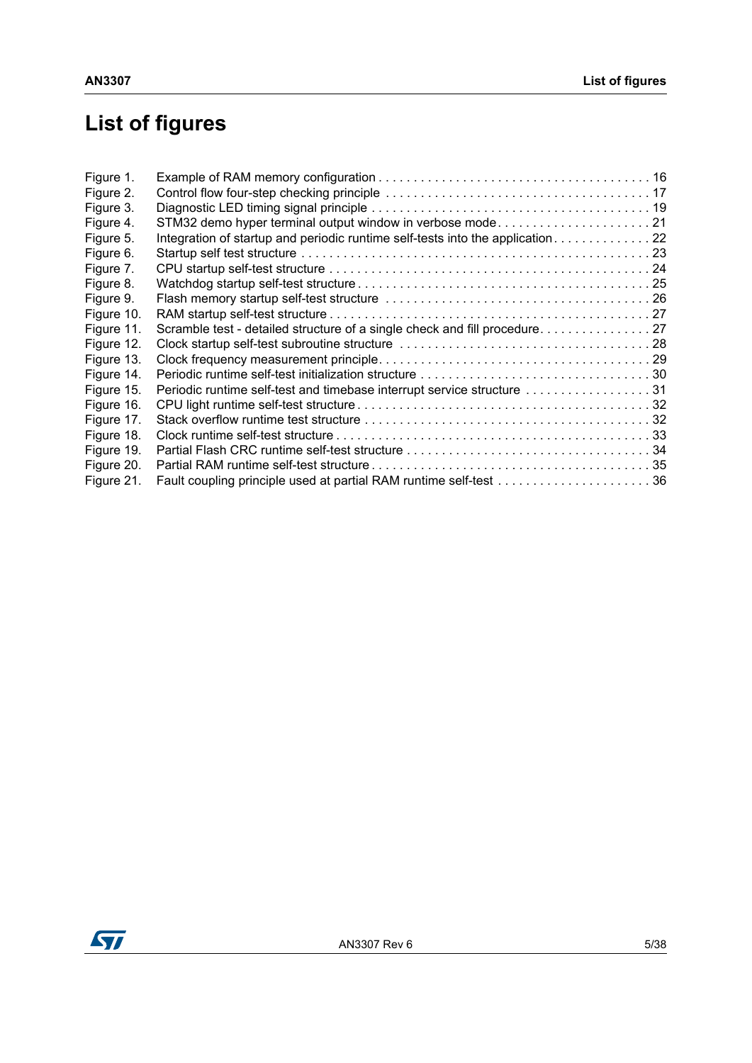# **List of figures**

| Figure 1.  |                                                                                |  |
|------------|--------------------------------------------------------------------------------|--|
| Figure 2.  |                                                                                |  |
| Figure 3.  |                                                                                |  |
| Figure 4.  | STM32 demo hyper terminal output window in verbose mode 21                     |  |
| Figure 5.  | Integration of startup and periodic runtime self-tests into the application 22 |  |
| Figure 6.  |                                                                                |  |
| Figure 7.  |                                                                                |  |
| Figure 8.  |                                                                                |  |
| Figure 9.  |                                                                                |  |
| Figure 10. |                                                                                |  |
| Figure 11. |                                                                                |  |
| Figure 12. |                                                                                |  |
| Figure 13. |                                                                                |  |
| Figure 14. |                                                                                |  |
| Figure 15. | Periodic runtime self-test and timebase interrupt service structure 31         |  |
| Figure 16. |                                                                                |  |
| Figure 17. |                                                                                |  |
| Figure 18. |                                                                                |  |
| Figure 19. |                                                                                |  |
| Figure 20. |                                                                                |  |
| Figure 21. |                                                                                |  |

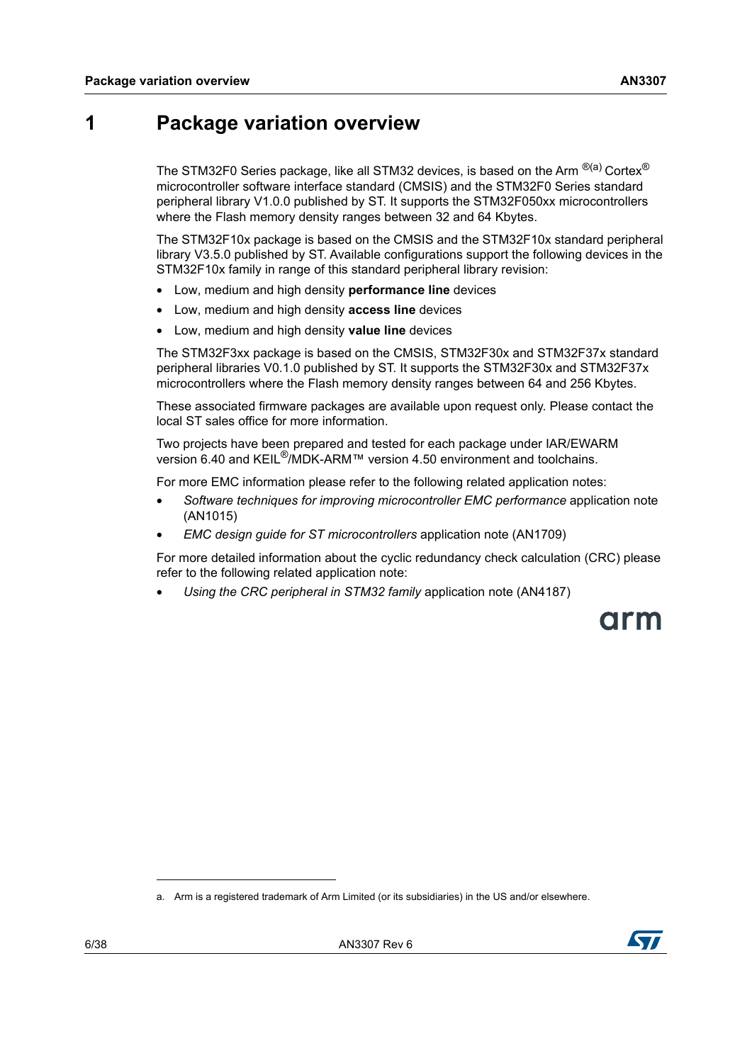## <span id="page-5-0"></span>**1 Package variation overview**

The STM32F0 Series package, like all STM32 devices, is based on the Arm  $^{\otimes (a)}$  Cortex<sup>®</sup> microcontroller software interface standard (CMSIS) and the STM32F0 Series standard peripheral library V1.0.0 published by ST. It supports the STM32F050xx microcontrollers where the Flash memory density ranges between 32 and 64 Kbytes.

The STM32F10x package is based on the CMSIS and the STM32F10x standard peripheral library V3.5.0 published by ST. Available configurations support the following devices in the STM32F10x family in range of this standard peripheral library revision:

- Low, medium and high density **performance line** devices
- Low, medium and high density **access line** devices
- Low, medium and high density **value line** devices

The STM32F3xx package is based on the CMSIS, STM32F30x and STM32F37x standard peripheral libraries V0.1.0 published by ST. It supports the STM32F30x and STM32F37x microcontrollers where the Flash memory density ranges between 64 and 256 Kbytes.

These associated firmware packages are available upon request only. Please contact the local ST sales office for more information.

Two projects have been prepared and tested for each package under IAR/EWARM version 6.40 and KEIL®/MDK-ARM™ version 4.50 environment and toolchains.

For more EMC information please refer to the following related application notes:

- *Software techniques for improving microcontroller EMC performance* application note (AN1015)
- *EMC design guide for ST microcontrollers* application note (AN1709)

For more detailed information about the cyclic redundancy check calculation (CRC) please refer to the following related application note:

• *Using the CRC peripheral in STM32 family* application note (AN4187)

arm

a. Arm is a registered trademark of Arm Limited (or its subsidiaries) in the US and/or elsewhere.

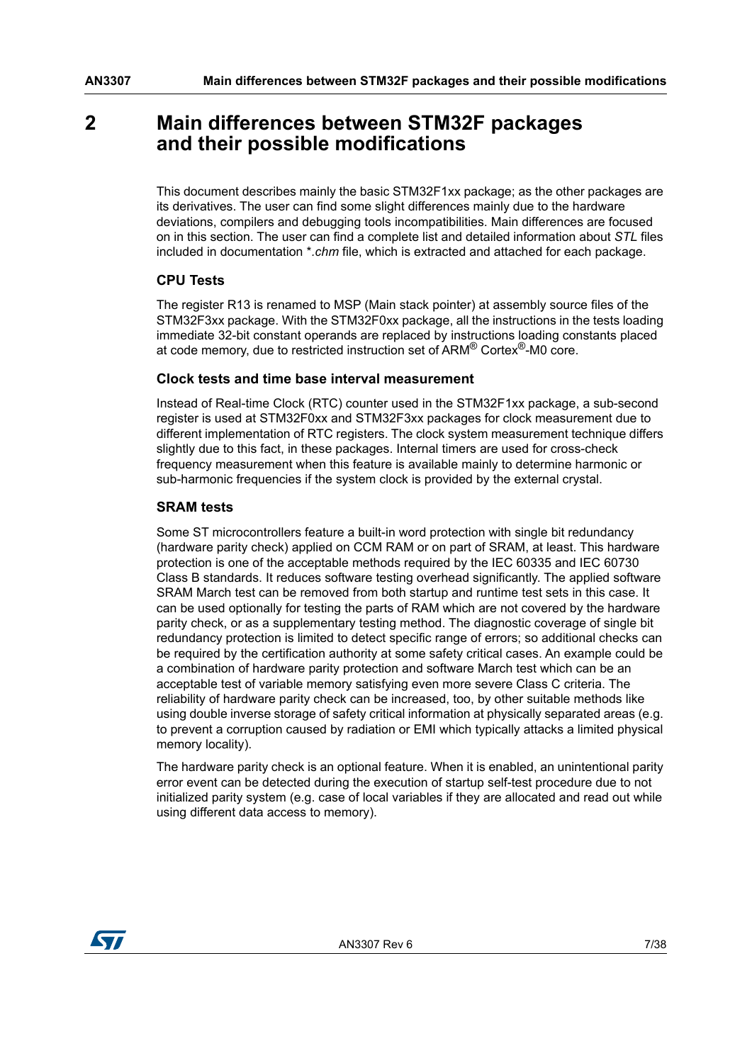## <span id="page-6-0"></span>**2 Main differences between STM32F packages and their possible modifications**

This document describes mainly the basic STM32F1xx package; as the other packages are its derivatives. The user can find some slight differences mainly due to the hardware deviations, compilers and debugging tools incompatibilities. Main differences are focused on in this section. The user can find a complete list and detailed information about *STL* files included in documentation \**.chm* file, which is extracted and attached for each package.

#### **CPU Tests**

The register R13 is renamed to MSP (Main stack pointer) at assembly source files of the STM32F3xx package. With the STM32F0xx package, all the instructions in the tests loading immediate 32-bit constant operands are replaced by instructions loading constants placed at code memory, due to restricted instruction set of ARM® Cortex®-M0 core.

#### **Clock tests and time base interval measurement**

Instead of Real-time Clock (RTC) counter used in the STM32F1xx package, a sub-second register is used at STM32F0xx and STM32F3xx packages for clock measurement due to different implementation of RTC registers. The clock system measurement technique differs slightly due to this fact, in these packages. Internal timers are used for cross-check frequency measurement when this feature is available mainly to determine harmonic or sub-harmonic frequencies if the system clock is provided by the external crystal.

#### **SRAM tests**

Some ST microcontrollers feature a built-in word protection with single bit redundancy (hardware parity check) applied on CCM RAM or on part of SRAM, at least. This hardware protection is one of the acceptable methods required by the IEC 60335 and IEC 60730 Class B standards. It reduces software testing overhead significantly. The applied software SRAM March test can be removed from both startup and runtime test sets in this case. It can be used optionally for testing the parts of RAM which are not covered by the hardware parity check, or as a supplementary testing method. The diagnostic coverage of single bit redundancy protection is limited to detect specific range of errors; so additional checks can be required by the certification authority at some safety critical cases. An example could be a combination of hardware parity protection and software March test which can be an acceptable test of variable memory satisfying even more severe Class C criteria. The reliability of hardware parity check can be increased, too, by other suitable methods like using double inverse storage of safety critical information at physically separated areas (e.g. to prevent a corruption caused by radiation or EMI which typically attacks a limited physical memory locality).

The hardware parity check is an optional feature. When it is enabled, an unintentional parity error event can be detected during the execution of startup self-test procedure due to not initialized parity system (e.g. case of local variables if they are allocated and read out while using different data access to memory).

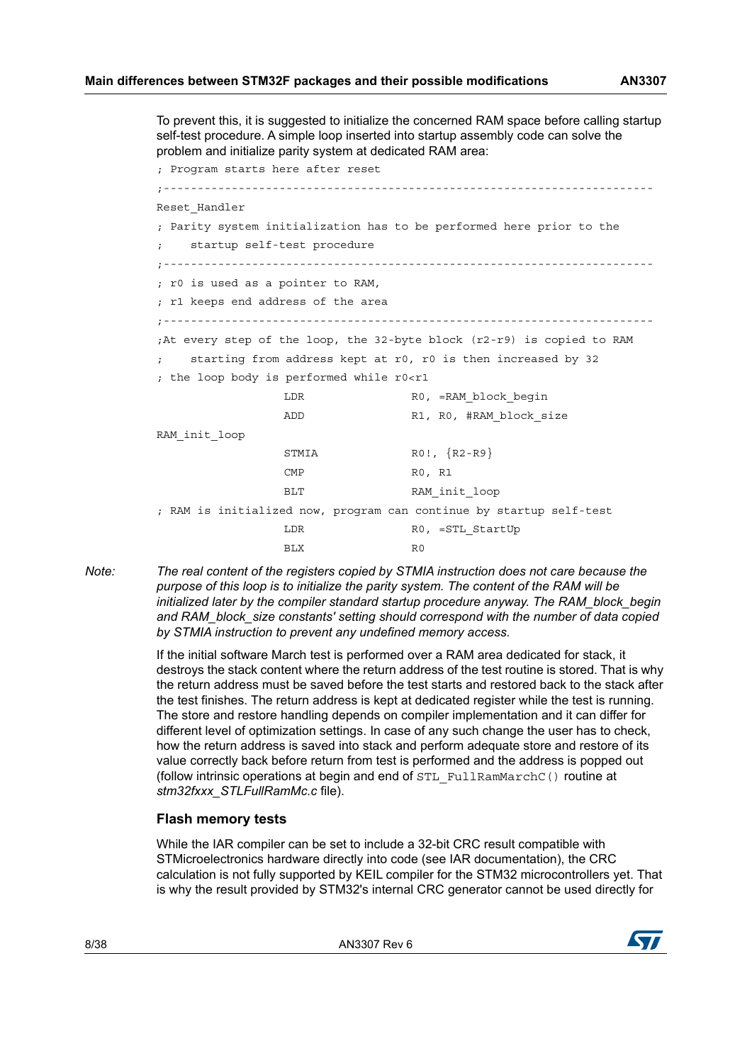To prevent this, it is suggested to initialize the concerned RAM space before calling startup self-test procedure. A simple loop inserted into startup assembly code can solve the problem and initialize parity system at dedicated RAM area:

; Program starts here after reset ;------------------------------------------------------------------------ Reset Handler ; Parity system initialization has to be performed here prior to the startup self-test procedure ;------------------------------------------------------------------------ ; r0 is used as a pointer to RAM, ; r1 keeps end address of the area ;------------------------------------------------------------------------ ;At every step of the loop, the 32-byte block (r2-r9) is copied to RAM starting from address kept at r0, r0 is then increased by 32 ; the loop body is performed while r0<r1 LDR R0, =RAM\_block\_begin ADD R1, R0, #RAM block size RAM\_init\_loop STMIA  $ROI, \{R2-R9\}$ CMP RO, R1 BLT RAM\_init\_loop ; RAM is initialized now, program can continue by startup self-test LDR RO, =STL\_StartUp BLX R0

*Note: The real content of the registers copied by STMIA instruction does not care because the purpose of this loop is to initialize the parity system. The content of the RAM will be initialized later by the compiler standard startup procedure anyway. The RAM\_block\_begin and RAM\_block\_size constants' setting should correspond with the number of data copied by STMIA instruction to prevent any undefined memory access.*

> If the initial software March test is performed over a RAM area dedicated for stack, it destroys the stack content where the return address of the test routine is stored. That is why the return address must be saved before the test starts and restored back to the stack after the test finishes. The return address is kept at dedicated register while the test is running. The store and restore handling depends on compiler implementation and it can differ for different level of optimization settings. In case of any such change the user has to check, how the return address is saved into stack and perform adequate store and restore of its value correctly back before return from test is performed and the address is popped out (follow intrinsic operations at begin and end of STL\_FullRamMarchC() routine at *stm32fxxx\_STLFullRamMc.c* file).

#### **Flash memory tests**

While the IAR compiler can be set to include a 32-bit CRC result compatible with STMicroelectronics hardware directly into code (see IAR documentation), the CRC calculation is not fully supported by KEIL compiler for the STM32 microcontrollers yet. That is why the result provided by STM32's internal CRC generator cannot be used directly for



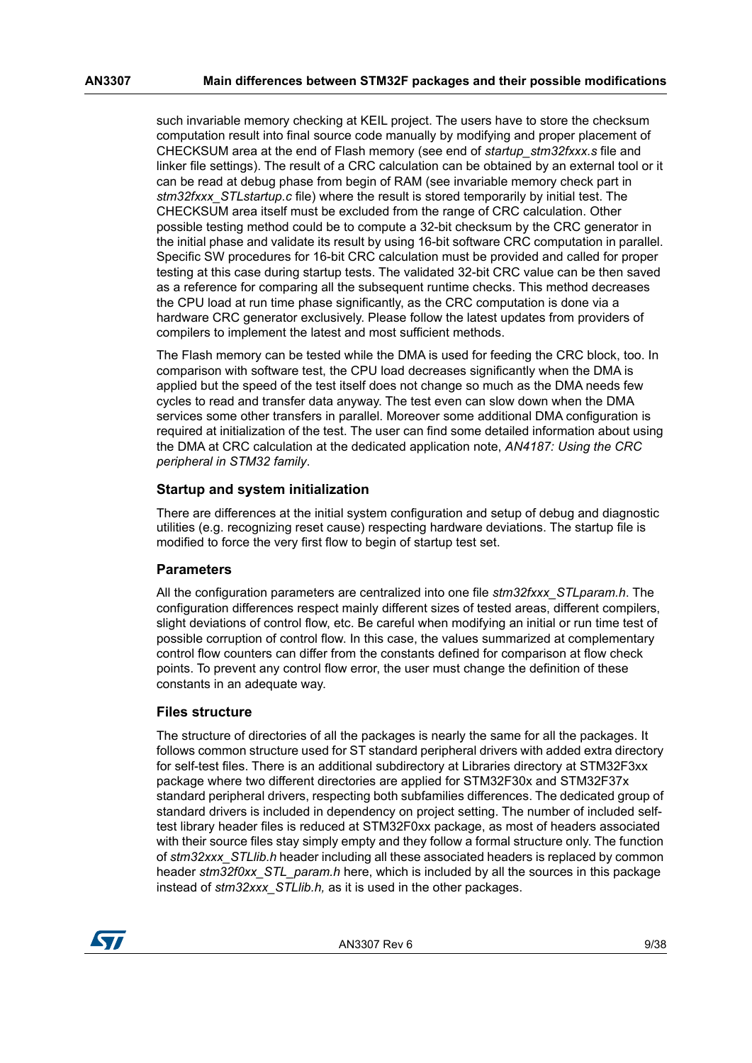such invariable memory checking at KEIL project. The users have to store the checksum computation result into final source code manually by modifying and proper placement of CHECKSUM area at the end of Flash memory (see end of *startup\_stm32fxxx.s* file and linker file settings). The result of a CRC calculation can be obtained by an external tool or it can be read at debug phase from begin of RAM (see invariable memory check part in *stm32fxxx\_STLstartup.c* file) where the result is stored temporarily by initial test. The CHECKSUM area itself must be excluded from the range of CRC calculation. Other possible testing method could be to compute a 32-bit checksum by the CRC generator in the initial phase and validate its result by using 16-bit software CRC computation in parallel. Specific SW procedures for 16-bit CRC calculation must be provided and called for proper testing at this case during startup tests. The validated 32-bit CRC value can be then saved as a reference for comparing all the subsequent runtime checks. This method decreases the CPU load at run time phase significantly, as the CRC computation is done via a hardware CRC generator exclusively. Please follow the latest updates from providers of compilers to implement the latest and most sufficient methods.

The Flash memory can be tested while the DMA is used for feeding the CRC block, too. In comparison with software test, the CPU load decreases significantly when the DMA is applied but the speed of the test itself does not change so much as the DMA needs few cycles to read and transfer data anyway. The test even can slow down when the DMA services some other transfers in parallel. Moreover some additional DMA configuration is required at initialization of the test. The user can find some detailed information about using the DMA at CRC calculation at the dedicated application note, *AN4187: Using the CRC peripheral in STM32 family*.

#### **Startup and system initialization**

There are differences at the initial system configuration and setup of debug and diagnostic utilities (e.g. recognizing reset cause) respecting hardware deviations. The startup file is modified to force the very first flow to begin of startup test set.

#### **Parameters**

All the configuration parameters are centralized into one file *stm32fxxx\_STLparam.h*. The configuration differences respect mainly different sizes of tested areas, different compilers, slight deviations of control flow, etc. Be careful when modifying an initial or run time test of possible corruption of control flow. In this case, the values summarized at complementary control flow counters can differ from the constants defined for comparison at flow check points. To prevent any control flow error, the user must change the definition of these constants in an adequate way.

#### **Files structure**

The structure of directories of all the packages is nearly the same for all the packages. It follows common structure used for ST standard peripheral drivers with added extra directory for self-test files. There is an additional subdirectory at Libraries directory at STM32F3xx package where two different directories are applied for STM32F30x and STM32F37x standard peripheral drivers, respecting both subfamilies differences. The dedicated group of standard drivers is included in dependency on project setting. The number of included selftest library header files is reduced at STM32F0xx package, as most of headers associated with their source files stay simply empty and they follow a formal structure only. The function of *stm32xxx\_STLlib.h* header including all these associated headers is replaced by common header *stm32f0xx\_STL\_param.h* here, which is included by all the sources in this package instead of *stm32xxx\_STLlib.h,* as it is used in the other packages.

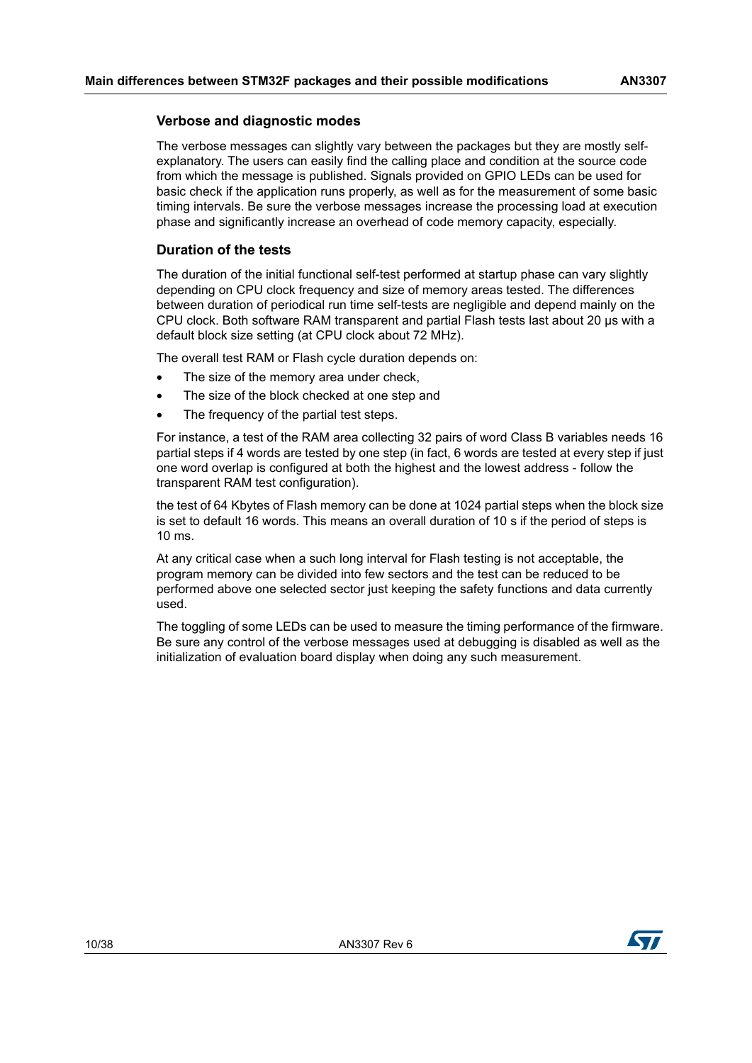#### **Verbose and diagnostic modes**

The verbose messages can slightly vary between the packages but they are mostly selfexplanatory. The users can easily find the calling place and condition at the source code from which the message is published. Signals provided on GPIO LEDs can be used for basic check if the application runs properly, as well as for the measurement of some basic timing intervals. Be sure the verbose messages increase the processing load at execution phase and significantly increase an overhead of code memory capacity, especially.

#### **Duration of the tests**

The duration of the initial functional self-test performed at startup phase can vary slightly depending on CPU clock frequency and size of memory areas tested. The differences between duration of periodical run time self-tests are negligible and depend mainly on the CPU clock. Both software RAM transparent and partial Flash tests last about 20 µs with a default block size setting (at CPU clock about 72 MHz).

The overall test RAM or Flash cycle duration depends on:

- The size of the memory area under check,
- The size of the block checked at one step and
- The frequency of the partial test steps.

For instance, a test of the RAM area collecting 32 pairs of word Class B variables needs 16 partial steps if 4 words are tested by one step (in fact, 6 words are tested at every step if just one word overlap is configured at both the highest and the lowest address - follow the transparent RAM test configuration).

the test of 64 Kbytes of Flash memory can be done at 1024 partial steps when the block size is set to default 16 words. This means an overall duration of 10 s if the period of steps is 10 ms.

At any critical case when a such long interval for Flash testing is not acceptable, the program memory can be divided into few sectors and the test can be reduced to be performed above one selected sector just keeping the safety functions and data currently used.

The toggling of some LEDs can be used to measure the timing performance of the firmware. Be sure any control of the verbose messages used at debugging is disabled as well as the initialization of evaluation board display when doing any such measurement.

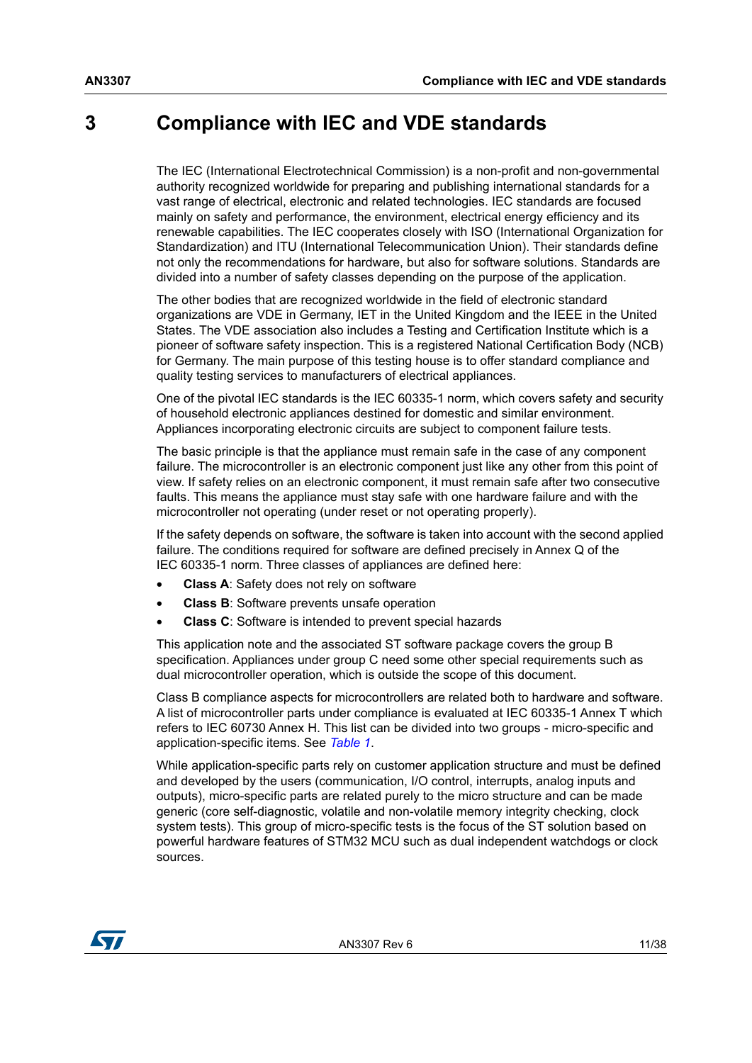## <span id="page-10-0"></span>**3 Compliance with IEC and VDE standards**

The IEC (International Electrotechnical Commission) is a non-profit and non-governmental authority recognized worldwide for preparing and publishing international standards for a vast range of electrical, electronic and related technologies. IEC standards are focused mainly on safety and performance, the environment, electrical energy efficiency and its renewable capabilities. The IEC cooperates closely with ISO (International Organization for Standardization) and ITU (International Telecommunication Union). Their standards define not only the recommendations for hardware, but also for software solutions. Standards are divided into a number of safety classes depending on the purpose of the application.

The other bodies that are recognized worldwide in the field of electronic standard organizations are VDE in Germany, IET in the United Kingdom and the IEEE in the United States. The VDE association also includes a Testing and Certification Institute which is a pioneer of software safety inspection. This is a registered National Certification Body (NCB) for Germany. The main purpose of this testing house is to offer standard compliance and quality testing services to manufacturers of electrical appliances.

One of the pivotal IEC standards is the IEC 60335-1 norm, which covers safety and security of household electronic appliances destined for domestic and similar environment. Appliances incorporating electronic circuits are subject to component failure tests.

The basic principle is that the appliance must remain safe in the case of any component failure. The microcontroller is an electronic component just like any other from this point of view. If safety relies on an electronic component, it must remain safe after two consecutive faults. This means the appliance must stay safe with one hardware failure and with the microcontroller not operating (under reset or not operating properly).

If the safety depends on software, the software is taken into account with the second applied failure. The conditions required for software are defined precisely in Annex Q of the IEC 60335-1 norm. Three classes of appliances are defined here:

- **Class A**: Safety does not rely on software
- **Class B**: Software prevents unsafe operation
- **Class C**: Software is intended to prevent special hazards

This application note and the associated ST software package covers the group B specification. Appliances under group C need some other special requirements such as dual microcontroller operation, which is outside the scope of this document.

Class B compliance aspects for microcontrollers are related both to hardware and software. A list of microcontroller parts under compliance is evaluated at IEC 60335-1 Annex T which refers to IEC 60730 Annex H. This list can be divided into two groups - micro-specific and application-specific items. See *[Table 1](#page-11-1)*.

While application-specific parts rely on customer application structure and must be defined and developed by the users (communication, I/O control, interrupts, analog inputs and outputs), micro-specific parts are related purely to the micro structure and can be made generic (core self-diagnostic, volatile and non-volatile memory integrity checking, clock system tests). This group of micro-specific tests is the focus of the ST solution based on powerful hardware features of STM32 MCU such as dual independent watchdogs or clock sources.

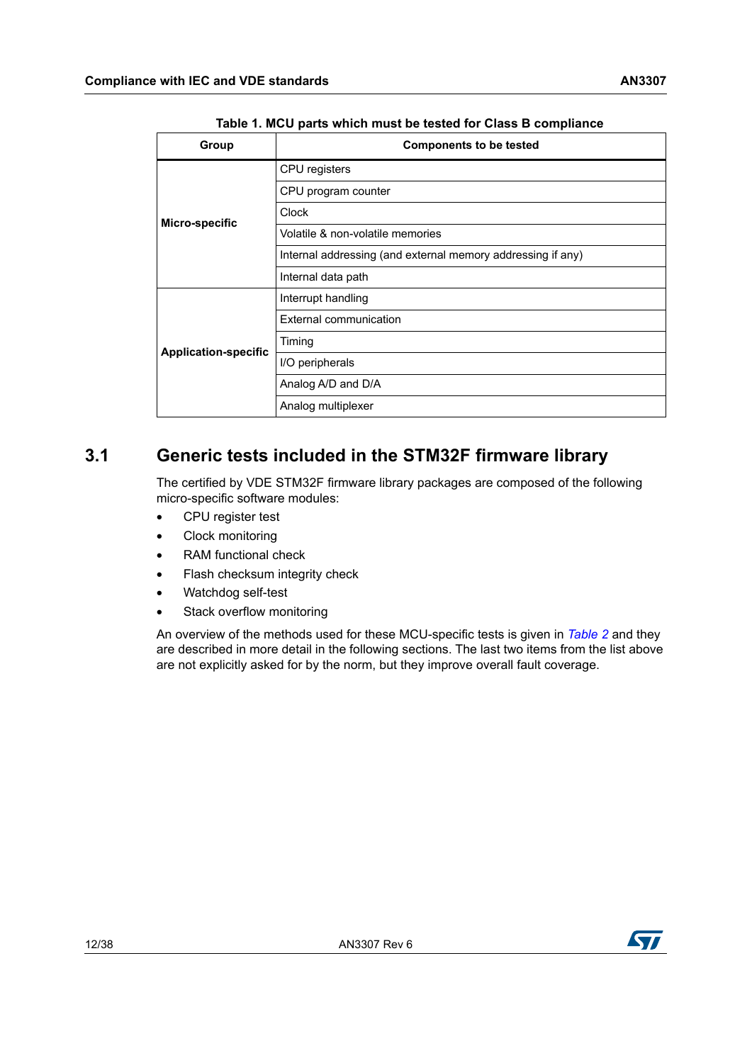<span id="page-11-1"></span>

| <u>rapid it moo parts which must be tested for oldes D compliance</u> |                                                             |  |  |  |  |  |  |  |
|-----------------------------------------------------------------------|-------------------------------------------------------------|--|--|--|--|--|--|--|
| Group                                                                 | <b>Components to be tested</b>                              |  |  |  |  |  |  |  |
|                                                                       | CPU registers                                               |  |  |  |  |  |  |  |
|                                                                       | CPU program counter                                         |  |  |  |  |  |  |  |
| Micro-specific                                                        | Clock                                                       |  |  |  |  |  |  |  |
|                                                                       | Volatile & non-volatile memories                            |  |  |  |  |  |  |  |
|                                                                       | Internal addressing (and external memory addressing if any) |  |  |  |  |  |  |  |
|                                                                       | Internal data path                                          |  |  |  |  |  |  |  |
|                                                                       | Interrupt handling                                          |  |  |  |  |  |  |  |
|                                                                       | External communication                                      |  |  |  |  |  |  |  |
| <b>Application-specific</b>                                           | Timing                                                      |  |  |  |  |  |  |  |
|                                                                       | I/O peripherals                                             |  |  |  |  |  |  |  |
|                                                                       | Analog A/D and D/A                                          |  |  |  |  |  |  |  |
|                                                                       | Analog multiplexer                                          |  |  |  |  |  |  |  |

**Table 1. MCU parts which must be tested for Class B compliance** 

## <span id="page-11-0"></span>**3.1 Generic tests included in the STM32F firmware library**

The certified by VDE STM32F firmware library packages are composed of the following micro-specific software modules:

- CPU register test
- Clock monitoring
- RAM functional check
- Flash checksum integrity check
- Watchdog self-test
- Stack overflow monitoring

An overview of the methods used for these MCU-specific tests is given in *[Table 2](#page-12-0)* and they are described in more detail in the following sections. The last two items from the list above are not explicitly asked for by the norm, but they improve overall fault coverage.

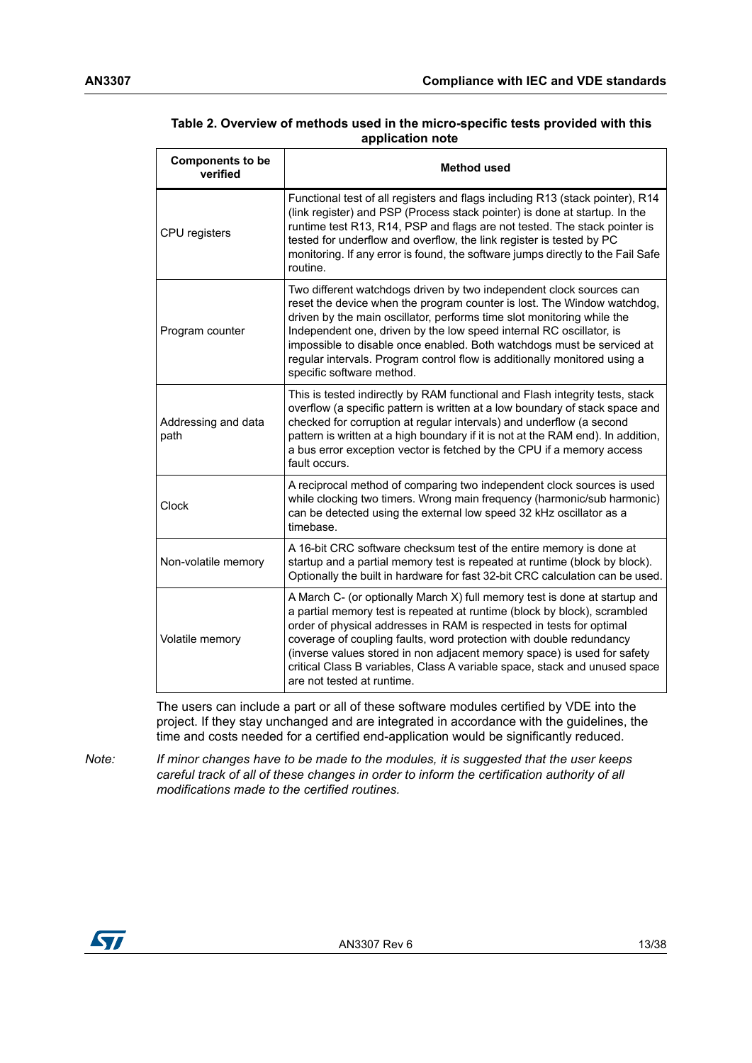| <b>Components to be</b><br>verified | <b>Method used</b>                                                                                                                                                                                                                                                                                                                                                                                                                                                                           |
|-------------------------------------|----------------------------------------------------------------------------------------------------------------------------------------------------------------------------------------------------------------------------------------------------------------------------------------------------------------------------------------------------------------------------------------------------------------------------------------------------------------------------------------------|
| CPU registers                       | Functional test of all registers and flags including R13 (stack pointer), R14<br>(link register) and PSP (Process stack pointer) is done at startup. In the<br>runtime test R13, R14, PSP and flags are not tested. The stack pointer is<br>tested for underflow and overflow, the link register is tested by PC<br>monitoring. If any error is found, the software jumps directly to the Fail Safe<br>routine.                                                                              |
| Program counter                     | Two different watchdogs driven by two independent clock sources can<br>reset the device when the program counter is lost. The Window watchdog,<br>driven by the main oscillator, performs time slot monitoring while the<br>Independent one, driven by the low speed internal RC oscillator, is<br>impossible to disable once enabled. Both watchdogs must be serviced at<br>regular intervals. Program control flow is additionally monitored using a<br>specific software method.          |
| Addressing and data<br>path         | This is tested indirectly by RAM functional and Flash integrity tests, stack<br>overflow (a specific pattern is written at a low boundary of stack space and<br>checked for corruption at regular intervals) and underflow (a second<br>pattern is written at a high boundary if it is not at the RAM end). In addition,<br>a bus error exception vector is fetched by the CPU if a memory access<br>fault occurs.                                                                           |
| Clock                               | A reciprocal method of comparing two independent clock sources is used<br>while clocking two timers. Wrong main frequency (harmonic/sub harmonic)<br>can be detected using the external low speed 32 kHz oscillator as a<br>timebase.                                                                                                                                                                                                                                                        |
| Non-volatile memory                 | A 16-bit CRC software checksum test of the entire memory is done at<br>startup and a partial memory test is repeated at runtime (block by block).<br>Optionally the built in hardware for fast 32-bit CRC calculation can be used.                                                                                                                                                                                                                                                           |
| Volatile memory                     | A March C- (or optionally March X) full memory test is done at startup and<br>a partial memory test is repeated at runtime (block by block), scrambled<br>order of physical addresses in RAM is respected in tests for optimal<br>coverage of coupling faults, word protection with double redundancy<br>(inverse values stored in non adjacent memory space) is used for safety<br>critical Class B variables, Class A variable space, stack and unused space<br>are not tested at runtime. |

#### <span id="page-12-0"></span>**Table 2. Overview of methods used in the micro-specific tests provided with this application note**

The users can include a part or all of these software modules certified by VDE into the project. If they stay unchanged and are integrated in accordance with the guidelines, the time and costs needed for a certified end-application would be significantly reduced.

*Note: If minor changes have to be made to the modules, it is suggested that the user keeps careful track of all of these changes in order to inform the certification authority of all modifications made to the certified routines.*

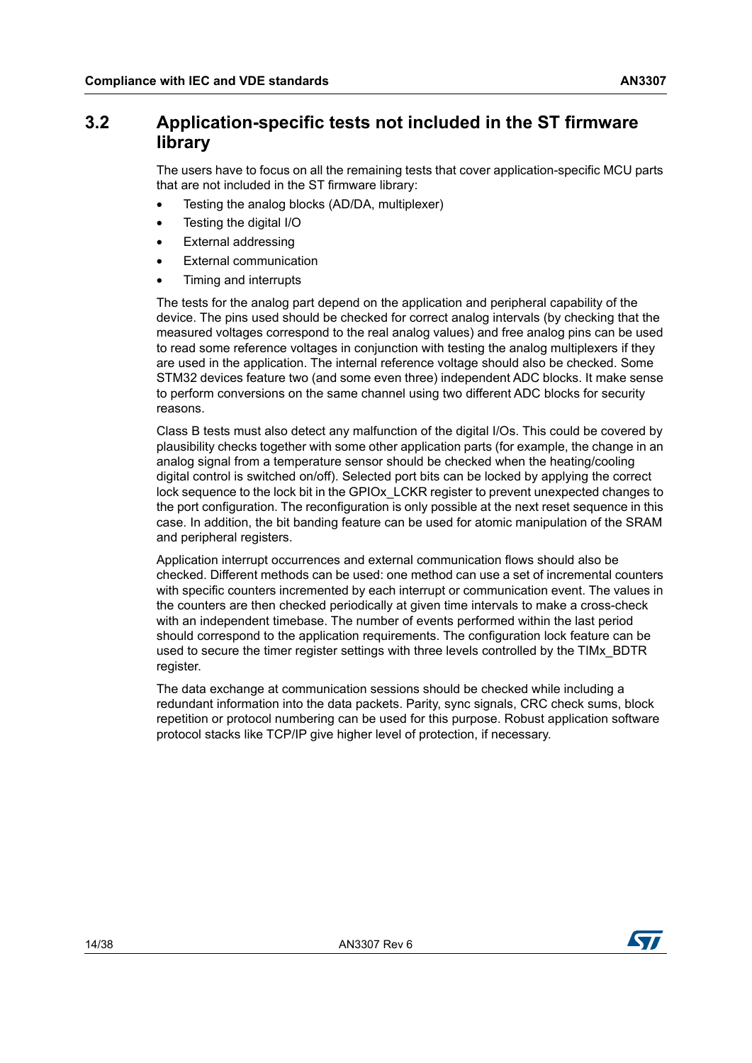## <span id="page-13-0"></span>**3.2 Application-specific tests not included in the ST firmware library**

The users have to focus on all the remaining tests that cover application-specific MCU parts that are not included in the ST firmware library:

- Testing the analog blocks (AD/DA, multiplexer)
- Testing the digital I/O
- External addressing
- **External communication**
- Timing and interrupts

The tests for the analog part depend on the application and peripheral capability of the device. The pins used should be checked for correct analog intervals (by checking that the measured voltages correspond to the real analog values) and free analog pins can be used to read some reference voltages in conjunction with testing the analog multiplexers if they are used in the application. The internal reference voltage should also be checked. Some STM32 devices feature two (and some even three) independent ADC blocks. It make sense to perform conversions on the same channel using two different ADC blocks for security reasons.

Class B tests must also detect any malfunction of the digital I/Os. This could be covered by plausibility checks together with some other application parts (for example, the change in an analog signal from a temperature sensor should be checked when the heating/cooling digital control is switched on/off). Selected port bits can be locked by applying the correct lock sequence to the lock bit in the GPIOx\_LCKR register to prevent unexpected changes to the port configuration. The reconfiguration is only possible at the next reset sequence in this case. In addition, the bit banding feature can be used for atomic manipulation of the SRAM and peripheral registers.

Application interrupt occurrences and external communication flows should also be checked. Different methods can be used: one method can use a set of incremental counters with specific counters incremented by each interrupt or communication event. The values in the counters are then checked periodically at given time intervals to make a cross-check with an independent timebase. The number of events performed within the last period should correspond to the application requirements. The configuration lock feature can be used to secure the timer register settings with three levels controlled by the TIMx\_BDTR register.

The data exchange at communication sessions should be checked while including a redundant information into the data packets. Parity, sync signals, CRC check sums, block repetition or protocol numbering can be used for this purpose. Robust application software protocol stacks like TCP/IP give higher level of protection, if necessary.

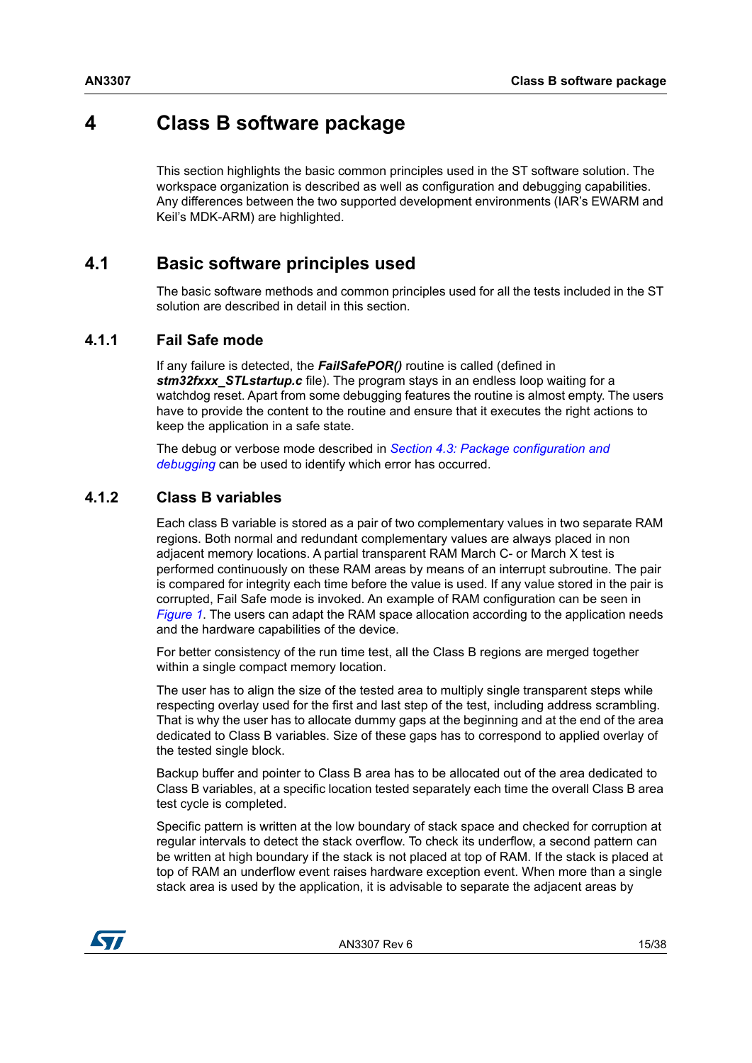## <span id="page-14-0"></span>**4 Class B software package**

This section highlights the basic common principles used in the ST software solution. The workspace organization is described as well as configuration and debugging capabilities. Any differences between the two supported development environments (IAR's EWARM and Keil's MDK-ARM) are highlighted.

## <span id="page-14-1"></span>**4.1 Basic software principles used**

The basic software methods and common principles used for all the tests included in the ST solution are described in detail in this section.

#### <span id="page-14-2"></span>**4.1.1 Fail Safe mode**

If any failure is detected, the *FailSafePOR()* routine is called (defined in **stm32fxxx\_STLstartup.c** file). The program stays in an endless loop waiting for a watchdog reset. Apart from some debugging features the routine is almost empty. The users have to provide the content to the routine and ensure that it executes the right actions to keep the application in a safe state.

The debug or verbose mode described in *[Section 4.3: Package configuration and](#page-18-1)  [debugging](#page-18-1)* can be used to identify which error has occurred.

#### <span id="page-14-3"></span>**4.1.2 Class B variables**

Each class B variable is stored as a pair of two complementary values in two separate RAM regions. Both normal and redundant complementary values are always placed in non adjacent memory locations. A partial transparent RAM March C- or March X test is performed continuously on these RAM areas by means of an interrupt subroutine. The pair is compared for integrity each time before the value is used. If any value stored in the pair is corrupted, Fail Safe mode is invoked. An example of RAM configuration can be seen in *[Figure 1](#page-15-0)*. The users can adapt the RAM space allocation according to the application needs and the hardware capabilities of the device.

For better consistency of the run time test, all the Class B regions are merged together within a single compact memory location.

The user has to align the size of the tested area to multiply single transparent steps while respecting overlay used for the first and last step of the test, including address scrambling. That is why the user has to allocate dummy gaps at the beginning and at the end of the area dedicated to Class B variables. Size of these gaps has to correspond to applied overlay of the tested single block.

Backup buffer and pointer to Class B area has to be allocated out of the area dedicated to Class B variables, at a specific location tested separately each time the overall Class B area test cycle is completed.

Specific pattern is written at the low boundary of stack space and checked for corruption at regular intervals to detect the stack overflow. To check its underflow, a second pattern can be written at high boundary if the stack is not placed at top of RAM. If the stack is placed at top of RAM an underflow event raises hardware exception event. When more than a single stack area is used by the application, it is advisable to separate the adjacent areas by



AN3307 Rev 6 15/38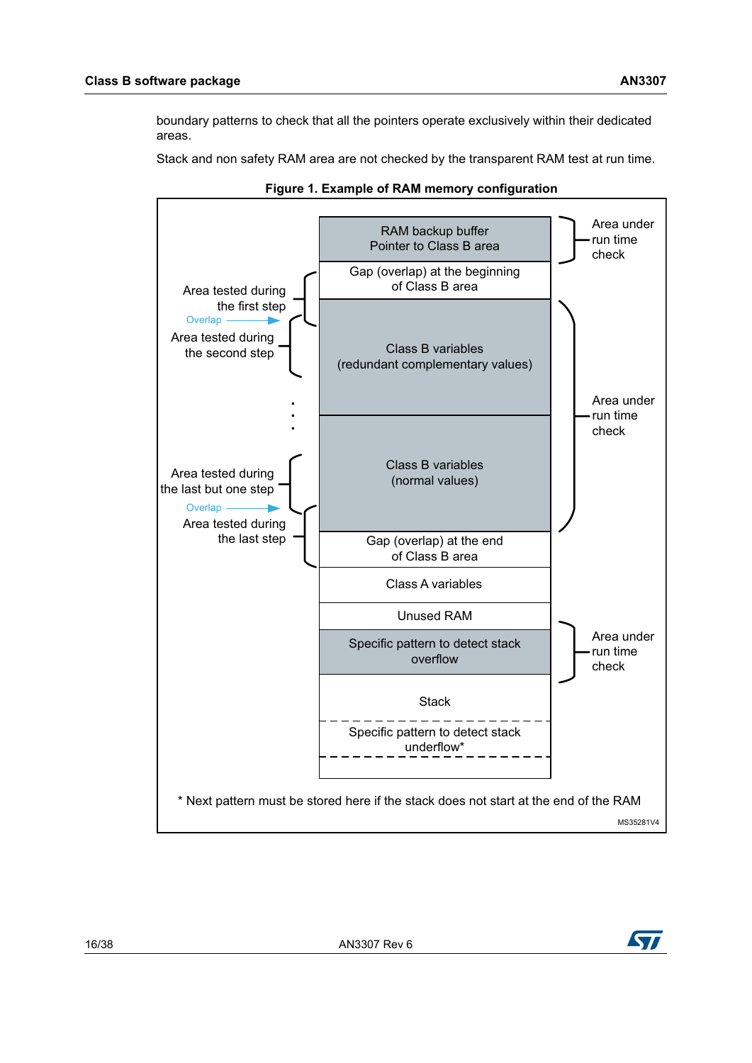boundary patterns to check that all the pointers operate exclusively within their dedicated areas.

Stack and non safety RAM area are not checked by the transparent RAM test at run time.

<span id="page-15-0"></span>



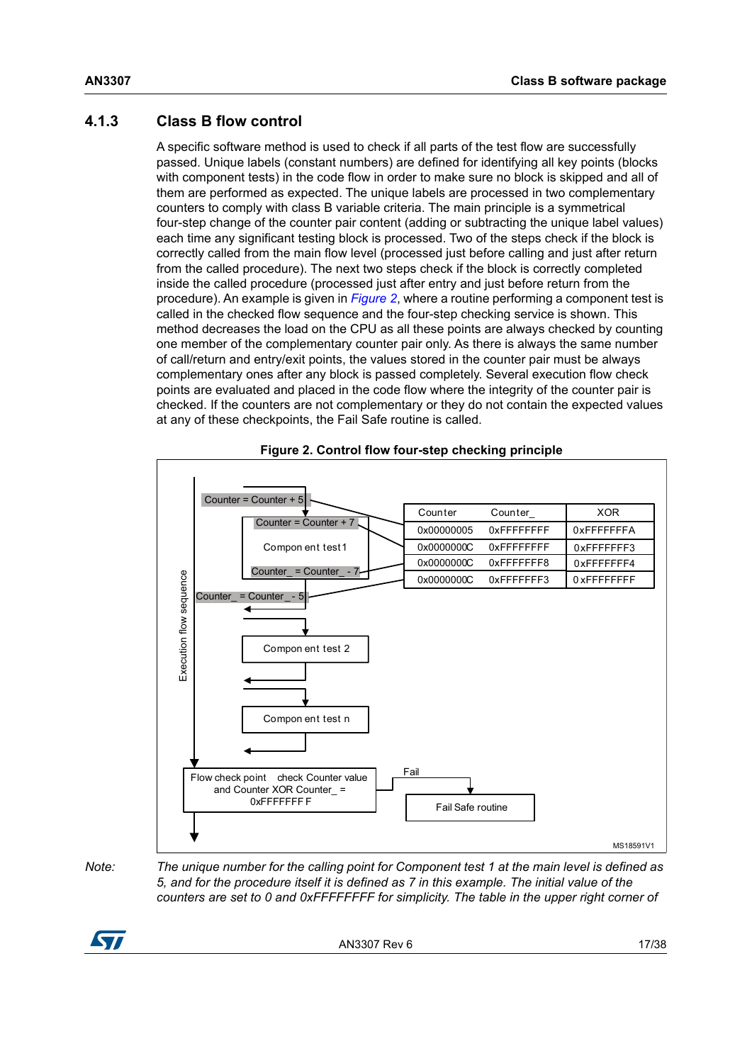## <span id="page-16-0"></span>**4.1.3 Class B flow control**

A specific software method is used to check if all parts of the test flow are successfully passed. Unique labels (constant numbers) are defined for identifying all key points (blocks with component tests) in the code flow in order to make sure no block is skipped and all of them are performed as expected. The unique labels are processed in two complementary counters to comply with class B variable criteria. The main principle is a symmetrical four-step change of the counter pair content (adding or subtracting the unique label values) each time any significant testing block is processed. Two of the steps check if the block is correctly called from the main flow level (processed just before calling and just after return from the called procedure). The next two steps check if the block is correctly completed inside the called procedure (processed just after entry and just before return from the procedure). An example is given in *[Figure 2](#page-16-1)*, where a routine performing a component test is called in the checked flow sequence and the four-step checking service is shown. This method decreases the load on the CPU as all these points are always checked by counting one member of the complementary counter pair only. As there is always the same number of call/return and entry/exit points, the values stored in the counter pair must be always complementary ones after any block is passed completely. Several execution flow check points are evaluated and placed in the code flow where the integrity of the counter pair is checked. If the counters are not complementary or they do not contain the expected values at any of these checkpoints, the Fail Safe routine is called.

<span id="page-16-1"></span>



*Note: The unique number for the calling point for Component test 1 at the main level is defined as 5, and for the procedure itself it is defined as 7 in this example. The initial value of the counters are set to 0 and 0xFFFFFFFF for simplicity. The table in the upper right corner of* 

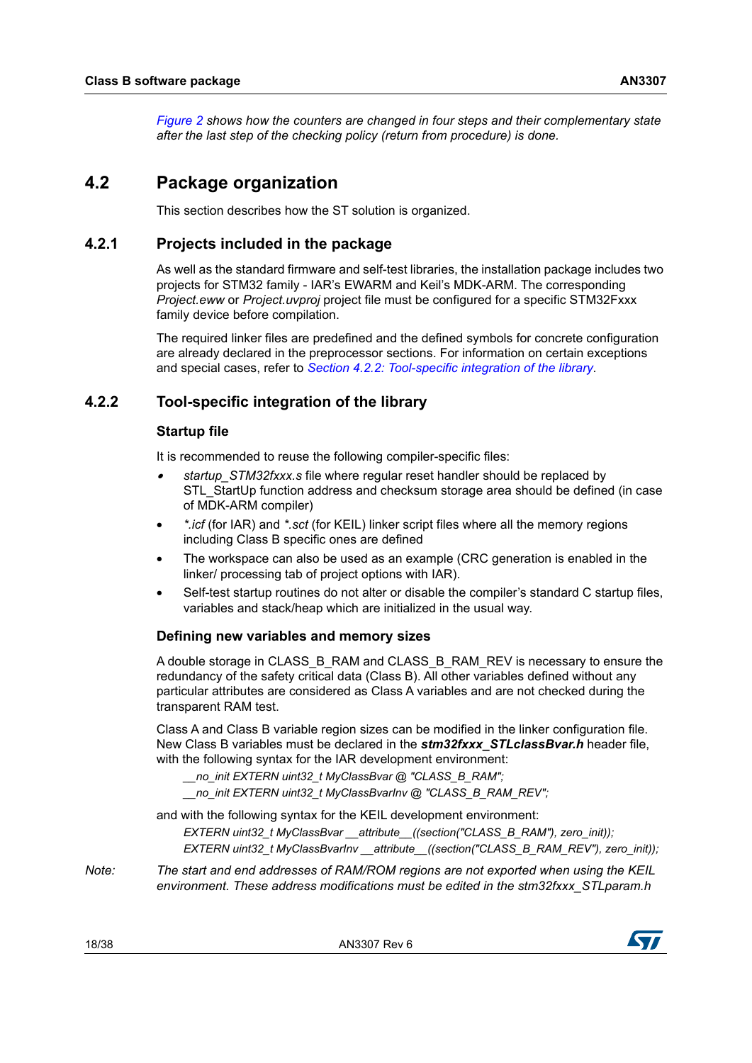*[Figure](#page-16-1) 2 shows how the counters are changed in four steps and their complementary state after the last step of the checking policy (return from procedure) is done.*

## <span id="page-17-0"></span>**4.2 Package organization**

This section describes how the ST solution is organized.

#### <span id="page-17-1"></span>**4.2.1 Projects included in the package**

As well as the standard firmware and self-test libraries, the installation package includes two projects for STM32 family - IAR's EWARM and Keil's MDK-ARM. The corresponding *Project.eww* or *Project.uvproj* project file must be configured for a specific STM32Fxxx family device before compilation.

The required linker files are predefined and the defined symbols for concrete configuration are already declared in the preprocessor sections. For information on certain exceptions and special cases, refer to *[Section 4.2.2: Tool-specific integration of the library](#page-17-2)*.

#### <span id="page-17-2"></span>**4.2.2 Tool-specific integration of the library**

#### **Startup file**

It is recommended to reuse the following compiler-specific files:

- • *startup\_STM32fxxx.s* file where regular reset handler should be replaced by STL\_StartUp function address and checksum storage area should be defined (in case of MDK-ARM compiler)
- *\*.icf* (for IAR) and *\*.sct* (for KEIL) linker script files where all the memory regions including Class B specific ones are defined
- The workspace can also be used as an example (CRC generation is enabled in the linker/ processing tab of project options with IAR).
- Self-test startup routines do not alter or disable the compiler's standard C startup files, variables and stack/heap which are initialized in the usual way.

#### **Defining new variables and memory sizes**

A double storage in CLASS\_B\_RAM and CLASS\_B\_RAM\_REV is necessary to ensure the redundancy of the safety critical data (Class B). All other variables defined without any particular attributes are considered as Class A variables and are not checked during the transparent RAM test.

Class A and Class B variable region sizes can be modified in the linker configuration file. New Class B variables must be declared in the *stm32fxxx\_STLclassBvar.h* header file, with the following syntax for the IAR development environment:

*\_\_no\_init EXTERN uint32\_t MyClassBvar @ "CLASS\_B\_RAM";*

*\_\_no\_init EXTERN uint32\_t MyClassBvarInv @ "CLASS\_B\_RAM\_REV";*

and with the following syntax for the KEIL development environment:

*EXTERN uint32\_t MyClassBvar \_\_attribute\_\_((section("CLASS\_B\_RAM"), zero\_init));*

*EXTERN uint32\_t MyClassBvarInv \_\_attribute\_\_((section("CLASS\_B\_RAM\_REV"), zero\_init));*

*Note: The start and end addresses of RAM/ROM regions are not exported when using the KEIL environment. These address modifications must be edited in the stm32fxxx\_STLparam.h* 

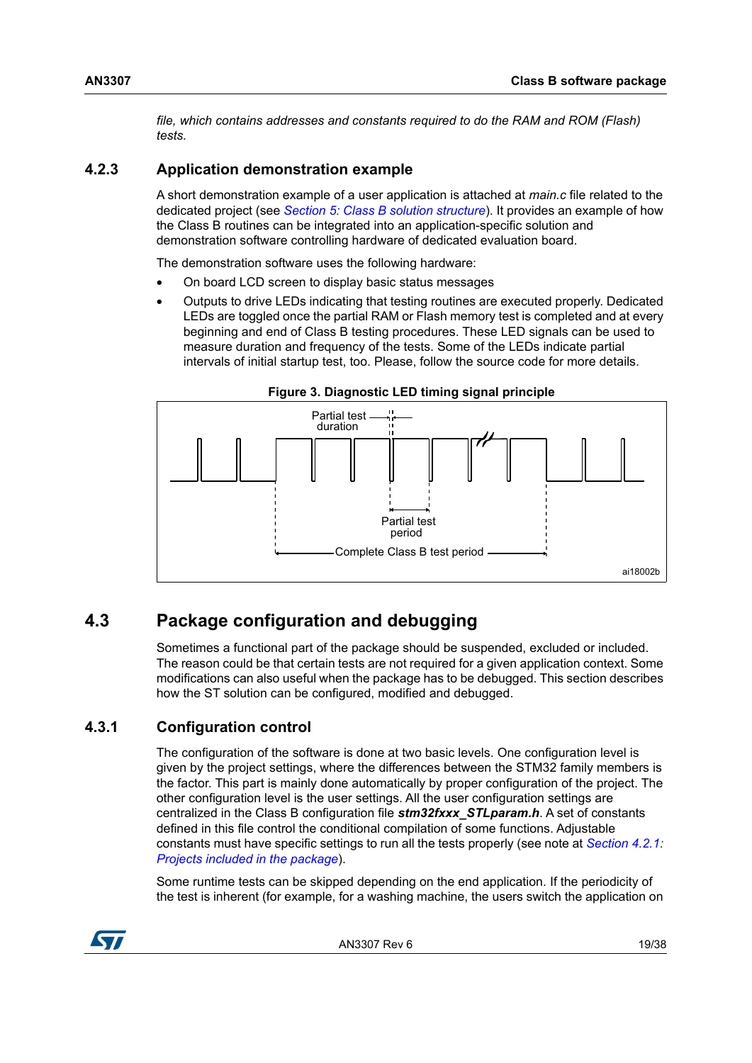*file, which contains addresses and constants required to do the RAM and ROM (Flash) tests.*

## <span id="page-18-0"></span>**4.2.3 Application demonstration example**

A short demonstration example of a user application is attached at *main.c* file related to the dedicated project (see *[Section 5: Class B solution structure](#page-21-0)*). It provides an example of how the Class B routines can be integrated into an application-specific solution and demonstration software controlling hardware of dedicated evaluation board.

The demonstration software uses the following hardware:

- On board LCD screen to display basic status messages
- Outputs to drive LEDs indicating that testing routines are executed properly. Dedicated LEDs are toggled once the partial RAM or Flash memory test is completed and at every beginning and end of Class B testing procedures. These LED signals can be used to measure duration and frequency of the tests. Some of the LEDs indicate partial intervals of initial startup test, too. Please, follow the source code for more details.

<span id="page-18-3"></span>

#### **Figure 3. Diagnostic LED timing signal principle**

## <span id="page-18-1"></span>**4.3 Package configuration and debugging**

Sometimes a functional part of the package should be suspended, excluded or included. The reason could be that certain tests are not required for a given application context. Some modifications can also useful when the package has to be debugged. This section describes how the ST solution can be configured, modified and debugged.

## <span id="page-18-2"></span>**4.3.1 Configuration control**

The configuration of the software is done at two basic levels. One configuration level is given by the project settings, where the differences between the STM32 family members is the factor. This part is mainly done automatically by proper configuration of the project. The other configuration level is the user settings. All the user configuration settings are centralized in the Class B configuration file *stm32fxxx\_STLparam.h*. A set of constants defined in this file control the conditional compilation of some functions. Adjustable constants must have specific settings to run all the tests properly (see note at *[Section 4.2.1:](#page-17-1)  [Projects included in the package](#page-17-1)*).

Some runtime tests can be skipped depending on the end application. If the periodicity of the test is inherent (for example, for a washing machine, the users switch the application on

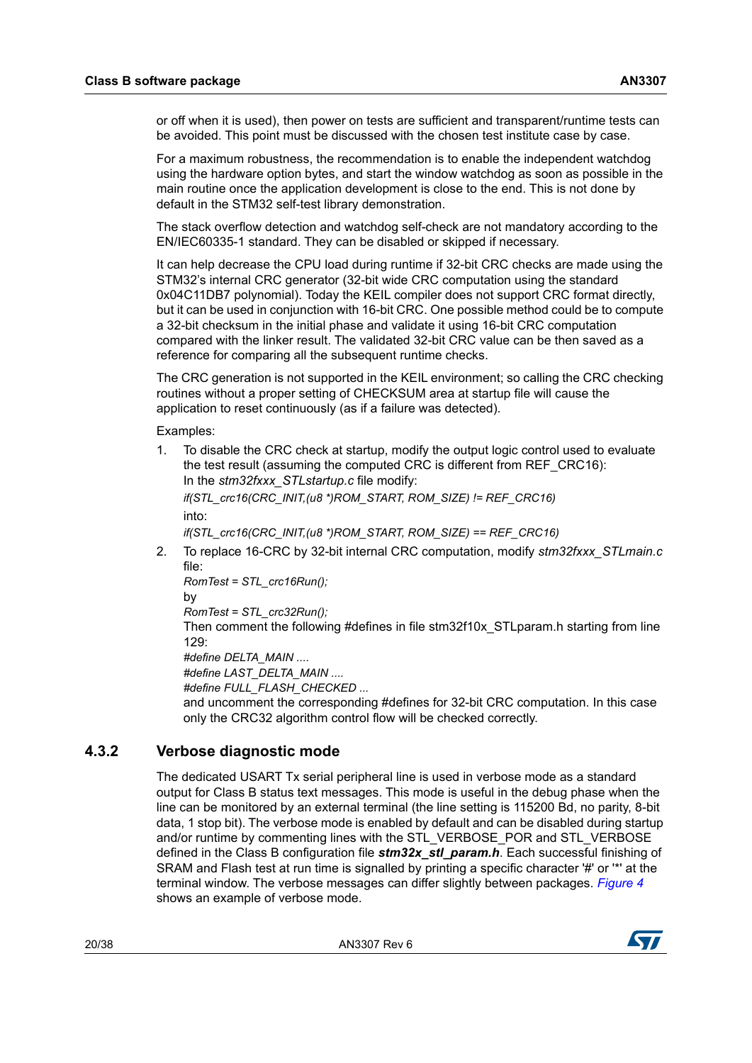or off when it is used), then power on tests are sufficient and transparent/runtime tests can be avoided. This point must be discussed with the chosen test institute case by case.

For a maximum robustness, the recommendation is to enable the independent watchdog using the hardware option bytes, and start the window watchdog as soon as possible in the main routine once the application development is close to the end. This is not done by default in the STM32 self-test library demonstration.

The stack overflow detection and watchdog self-check are not mandatory according to the EN/IEC60335-1 standard. They can be disabled or skipped if necessary.

It can help decrease the CPU load during runtime if 32-bit CRC checks are made using the STM32's internal CRC generator (32-bit wide CRC computation using the standard 0x04C11DB7 polynomial). Today the KEIL compiler does not support CRC format directly, but it can be used in conjunction with 16-bit CRC. One possible method could be to compute a 32-bit checksum in the initial phase and validate it using 16-bit CRC computation compared with the linker result. The validated 32-bit CRC value can be then saved as a reference for comparing all the subsequent runtime checks.

The CRC generation is not supported in the KEIL environment; so calling the CRC checking routines without a proper setting of CHECKSUM area at startup file will cause the application to reset continuously (as if a failure was detected).

Examples:

1. To disable the CRC check at startup, modify the output logic control used to evaluate the test result (assuming the computed CRC is different from REF\_CRC16): In the *stm32fxxx\_STLstartup.c* file modify:

*if(STL\_crc16(CRC\_INIT,(u8 \*)ROM\_START, ROM\_SIZE) != REF\_CRC16)* into:

*if(STL\_crc16(CRC\_INIT,(u8 \*)ROM\_START, ROM\_SIZE) == REF\_CRC16)*

2. To replace 16-CRC by 32-bit internal CRC computation, modify *stm32fxxx\_STLmain.c* file:

*RomTest = STL\_crc16Run();* by *RomTest = STL\_crc32Run();*

Then comment the following #defines in file stm32f10x STLparam.h starting from line 129:

*#define DELTA\_MAIN .... #define LAST\_DELTA\_MAIN ....*

*#define FULL\_FLASH\_CHECKED ...*

and uncomment the corresponding #defines for 32-bit CRC computation. In this case only the CRC32 algorithm control flow will be checked correctly.

#### <span id="page-19-0"></span>**4.3.2 Verbose diagnostic mode**

The dedicated USART Tx serial peripheral line is used in verbose mode as a standard output for Class B status text messages. This mode is useful in the debug phase when the line can be monitored by an external terminal (the line setting is 115200 Bd, no parity, 8-bit data, 1 stop bit). The verbose mode is enabled by default and can be disabled during startup and/or runtime by commenting lines with the STL\_VERBOSE\_POR and STL\_VERBOSE defined in the Class B configuration file *stm32x stl param.h*. Each successful finishing of SRAM and Flash test at run time is signalled by printing a specific character '#' or '\*' at the terminal window. The verbose messages can differ slightly between packages. *[Figure 4](#page-20-1)* shows an example of verbose mode.

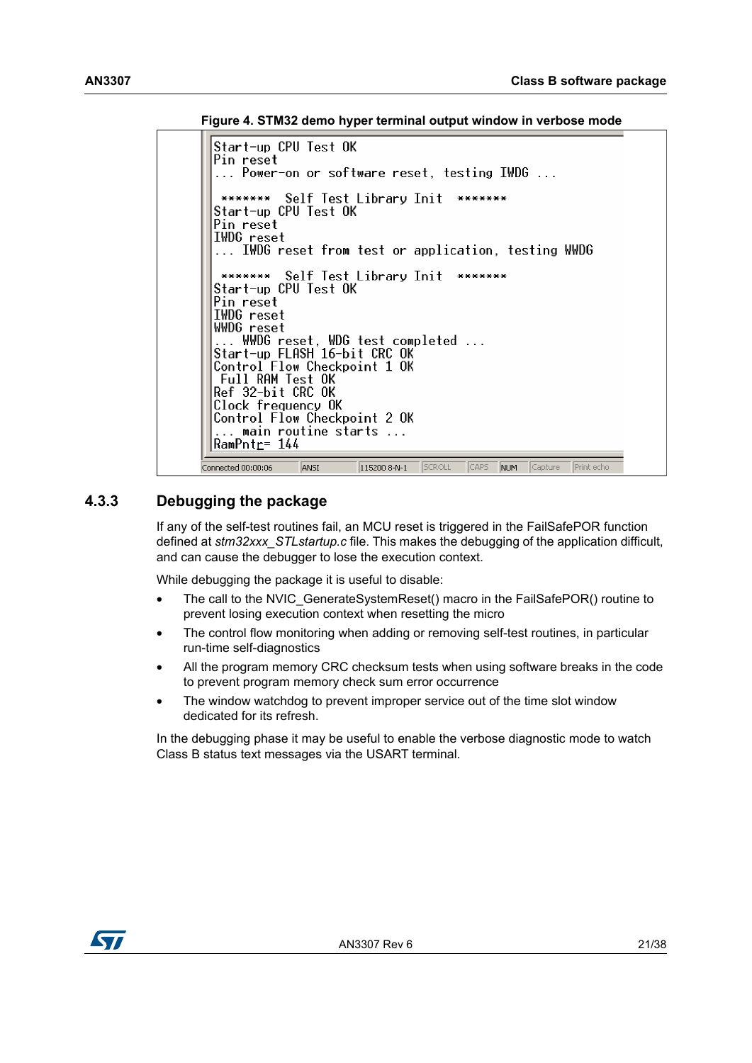**Figure 4. STM32 demo hyper terminal output window in verbose mode**

```
Start-up CPU Test OK
 Pin reset
  ... Power-on or software reset, testing IWDG ...
  ******* Self Test Library Init *******
 Start-up CPU Test OK
 Pin reset
 IWDG reset
  ... IWDG reset from test or application, testing WWDG
             Self Test Library Init *******
  *******
 Start-up CPU Test OK
 Pin reset
 IWDG reset
 WWDG reset
 ....<br>... WWDG reset, WDG test completed ...<br>Start-up_FLASH 16-bit CRC OK
 Control Flow Checkpoint 1 OK
  Full RAM Test OK
 Ref 32-bit CRC OK
 Clock frequency OK
 Control Flow Checkpoint 2 OK
  ... main routine starts ...
 |RamPnt<u>r</u>= 144
Connected 00:00:06
                                   SCROLL
                                           CAPS
                                                    \sqrt{\sqrt{2}}ANST
                         115200 8-N-1
                                                NUM
                                                            Print echo
```
#### <span id="page-20-0"></span>**4.3.3 Debugging the package**

If any of the self-test routines fail, an MCU reset is triggered in the FailSafePOR function defined at *stm32xxx\_STLstartup.c* file. This makes the debugging of the application difficult, and can cause the debugger to lose the execution context.

While debugging the package it is useful to disable:

- The call to the NVIC GenerateSystemReset() macro in the FailSafePOR() routine to prevent losing execution context when resetting the micro
- The control flow monitoring when adding or removing self-test routines, in particular run-time self-diagnostics
- All the program memory CRC checksum tests when using software breaks in the code to prevent program memory check sum error occurrence
- The window watchdog to prevent improper service out of the time slot window dedicated for its refresh.

In the debugging phase it may be useful to enable the verbose diagnostic mode to watch Class B status text messages via the USART terminal.

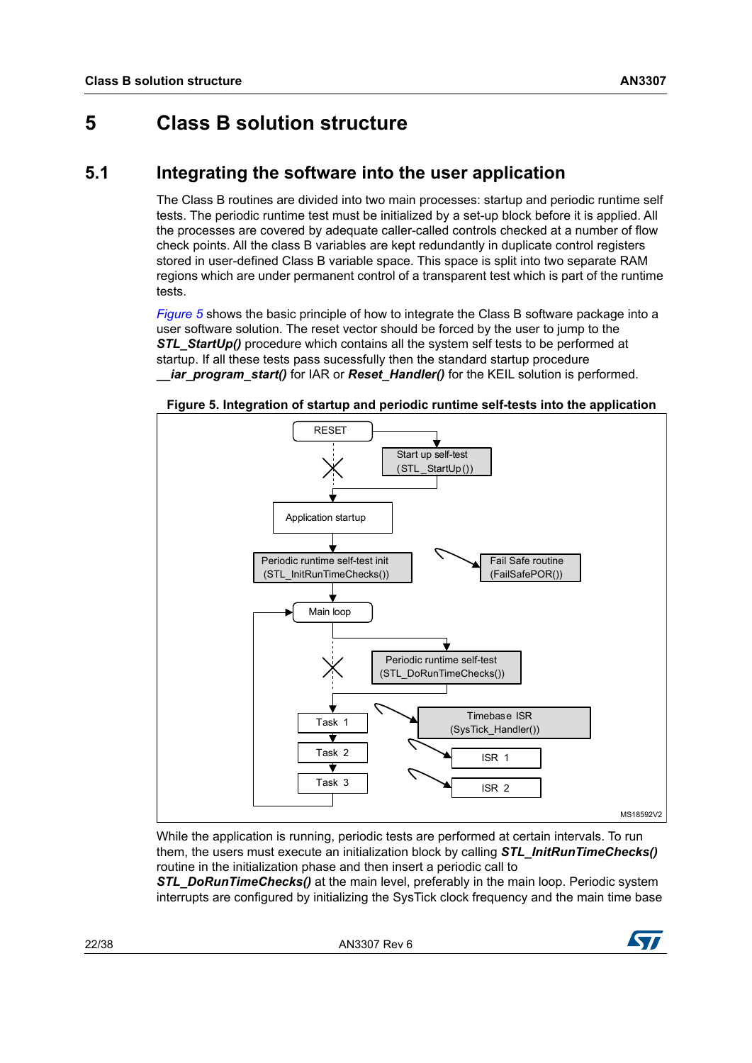# <span id="page-21-0"></span>**5 Class B solution structure**

## <span id="page-21-1"></span>**5.1 Integrating the software into the user application**

The Class B routines are divided into two main processes: startup and periodic runtime self tests. The periodic runtime test must be initialized by a set-up block before it is applied. All the processes are covered by adequate caller-called controls checked at a number of flow check points. All the class B variables are kept redundantly in duplicate control registers stored in user-defined Class B variable space. This space is split into two separate RAM regions which are under permanent control of a transparent test which is part of the runtime tests.

*[Figure 5](#page-21-2)* shows the basic principle of how to integrate the Class B software package into a user software solution. The reset vector should be forced by the user to jump to the **STL\_StartUp()** procedure which contains all the system self tests to be performed at startup. If all these tests pass sucessfully then the standard startup procedure *iar\_program\_start()* for IAR or *Reset\_Handler()* for the KEIL solution is performed.



<span id="page-21-2"></span>**Figure 5. Integration of startup and periodic runtime self-tests into the application**

While the application is running, periodic tests are performed at certain intervals. To run them, the users must execute an initialization block by calling *STL\_InitRunTimeChecks()* routine in the initialization phase and then insert a periodic call to

**STL\_DoRunTimeChecks()** at the main level, preferably in the main loop. Periodic system interrupts are configured by initializing the SysTick clock frequency and the main time base

22/38 AN3307 Rev 6

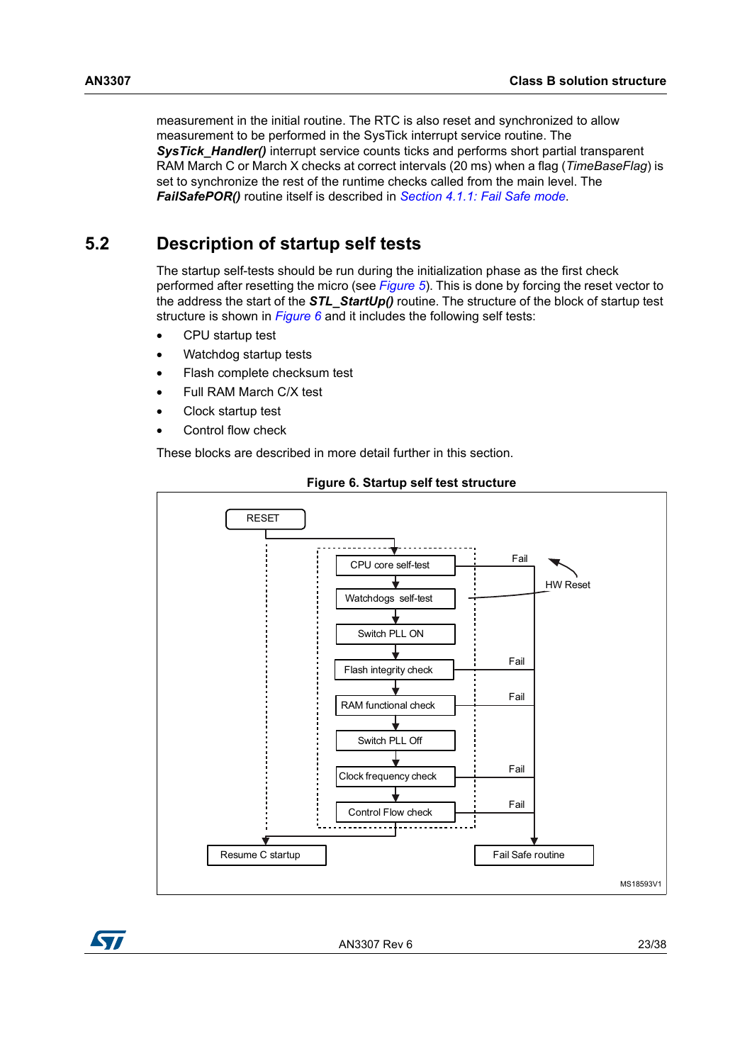measurement in the initial routine. The RTC is also reset and synchronized to allow measurement to be performed in the SysTick interrupt service routine. The **SysTick\_Handler()** interrupt service counts ticks and performs short partial transparent RAM March C or March X checks at correct intervals (20 ms) when a flag (*TimeBaseFlag*) is set to synchronize the rest of the runtime checks called from the main level. The *FailSafePOR()* routine itself is described in *[Section 4.1.1: Fail Safe mode](#page-14-2)*.

## <span id="page-22-0"></span>**5.2 Description of startup self tests**

The startup self-tests should be run during the initialization phase as the first check performed after resetting the micro (see *[Figure 5](#page-21-2)*). This is done by forcing the reset vector to the address the start of the *STL\_StartUp()* routine. The structure of the block of startup test structure is shown in *[Figure 6](#page-22-1)* and it includes the following self tests:

- CPU startup test
- Watchdog startup tests
- Flash complete checksum test
- Full RAM March C/X test
- Clock startup test
- Control flow check

These blocks are described in more detail further in this section.

<span id="page-22-1"></span>

#### **Figure 6. Startup self test structure**



AN3307 Rev 6 23/38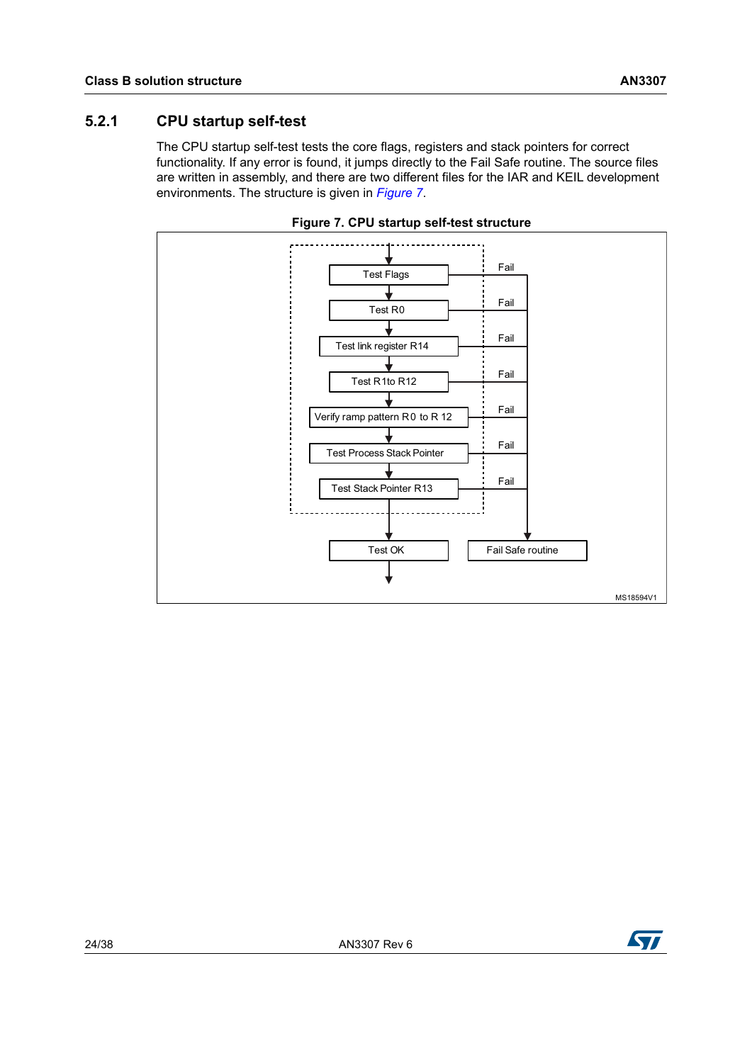### <span id="page-23-0"></span>**5.2.1 CPU startup self-test**

The CPU startup self-test tests the core flags, registers and stack pointers for correct functionality. If any error is found, it jumps directly to the Fail Safe routine. The source files are written in assembly, and there are two different files for the IAR and KEIL development environments. The structure is given in *[Figure 7](#page-23-1)*.

<span id="page-23-1"></span>

**Figure 7. CPU startup self-test structure**

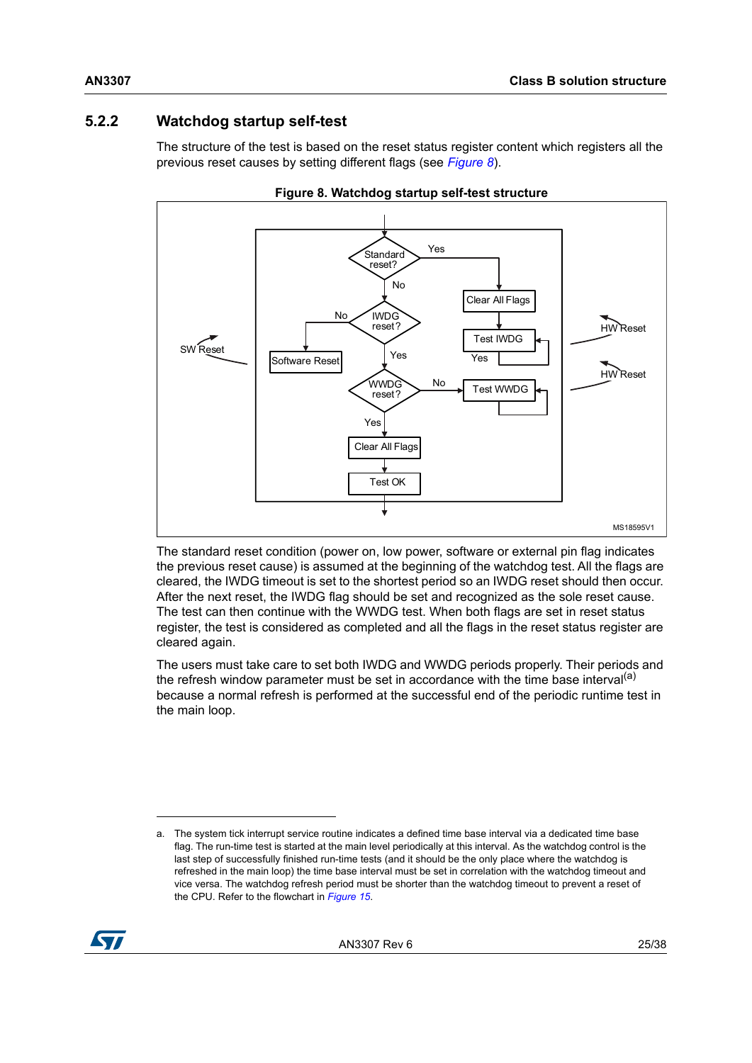## <span id="page-24-0"></span>**5.2.2 Watchdog startup self-test**

The structure of the test is based on the reset status register content which registers all the previous reset causes by setting different flags (see *[Figure](#page-24-1) 8*).

<span id="page-24-1"></span>



The standard reset condition (power on, low power, software or external pin flag indicates the previous reset cause) is assumed at the beginning of the watchdog test. All the flags are cleared, the IWDG timeout is set to the shortest period so an IWDG reset should then occur. After the next reset, the IWDG flag should be set and recognized as the sole reset cause. The test can then continue with the WWDG test. When both flags are set in reset status register, the test is considered as completed and all the flags in the reset status register are cleared again.

The users must take care to set both IWDG and WWDG periods properly. Their periods and the refresh window parameter must be set in accordance with the time base interval<sup>(a)</sup> because a normal refresh is performed at the successful end of the periodic runtime test in the main loop.

a. The system tick interrupt service routine indicates a defined time base interval via a dedicated time base flag. The run-time test is started at the main level periodically at this interval. As the watchdog control is the last step of successfully finished run-time tests (and it should be the only place where the watchdog is refreshed in the main loop) the time base interval must be set in correlation with the watchdog timeout and vice versa. The watchdog refresh period must be shorter than the watchdog timeout to prevent a reset of the CPU. Refer to the flowchart in *[Figure 15](#page-30-2)*.

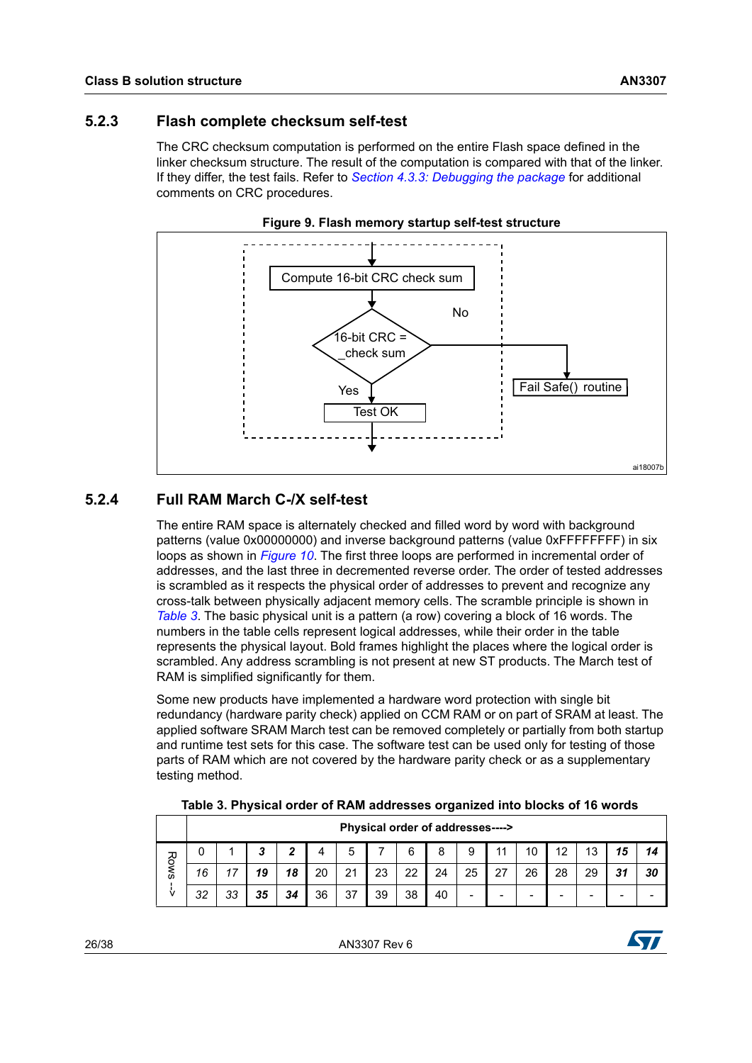#### <span id="page-25-0"></span>**5.2.3 Flash complete checksum self-test**

The CRC checksum computation is performed on the entire Flash space defined in the linker checksum structure. The result of the computation is compared with that of the linker. If they differ, the test fails. Refer to *Section [4.3.3: Debugging the package](#page-20-0)* for additional comments on CRC procedures.

<span id="page-25-3"></span>



#### <span id="page-25-1"></span>**5.2.4 Full RAM March C-/X self-test**

The entire RAM space is alternately checked and filled word by word with background patterns (value 0x00000000) and inverse background patterns (value 0xFFFFFFFF) in six loops as shown in *[Figure 10](#page-26-0)*. The first three loops are performed in incremental order of addresses, and the last three in decremented reverse order. The order of tested addresses is scrambled as it respects the physical order of addresses to prevent and recognize any cross-talk between physically adjacent memory cells. The scramble principle is shown in *[Table 3](#page-25-2)*. The basic physical unit is a pattern (a row) covering a block of 16 words. The numbers in the table cells represent logical addresses, while their order in the table represents the physical layout. Bold frames highlight the places where the logical order is scrambled. Any address scrambling is not present at new ST products. The March test of RAM is simplified significantly for them.

Some new products have implemented a hardware word protection with single bit redundancy (hardware parity check) applied on CCM RAM or on part of SRAM at least. The applied software SRAM March test can be removed completely or partially from both startup and runtime test sets for this case. The software test can be used only for testing of those parts of RAM which are not covered by the hardware parity check or as a supplementary testing method.

|  |  |  |  |  |  |  |  | Table 3. Physical order of RAM addresses organized into blocks of 16 words |
|--|--|--|--|--|--|--|--|----------------------------------------------------------------------------|
|--|--|--|--|--|--|--|--|----------------------------------------------------------------------------|

<span id="page-25-2"></span>

|    |    |    |        |    |    |    | Physical order of addresses----> |    |    |                          |                          |    |    |    |    |    |
|----|----|----|--------|----|----|----|----------------------------------|----|----|--------------------------|--------------------------|----|----|----|----|----|
| Ró |    |    | ≏<br>ື | 2  |    | э  |                                  | 6  | 8  | 9                        | 44                       |    | 10 | 13 | 15 |    |
| š  | 16 |    | 19     | 18 | 20 | 21 | 23                               | 22 | 24 | 25                       | 27                       | 26 | 28 | 29 | 31 | 30 |
| v  | 32 | 33 | 35     | 34 | 36 | 37 | 39                               | 38 | 40 | $\overline{\phantom{a}}$ | $\overline{\phantom{0}}$ |    | -  |    | -  |    |

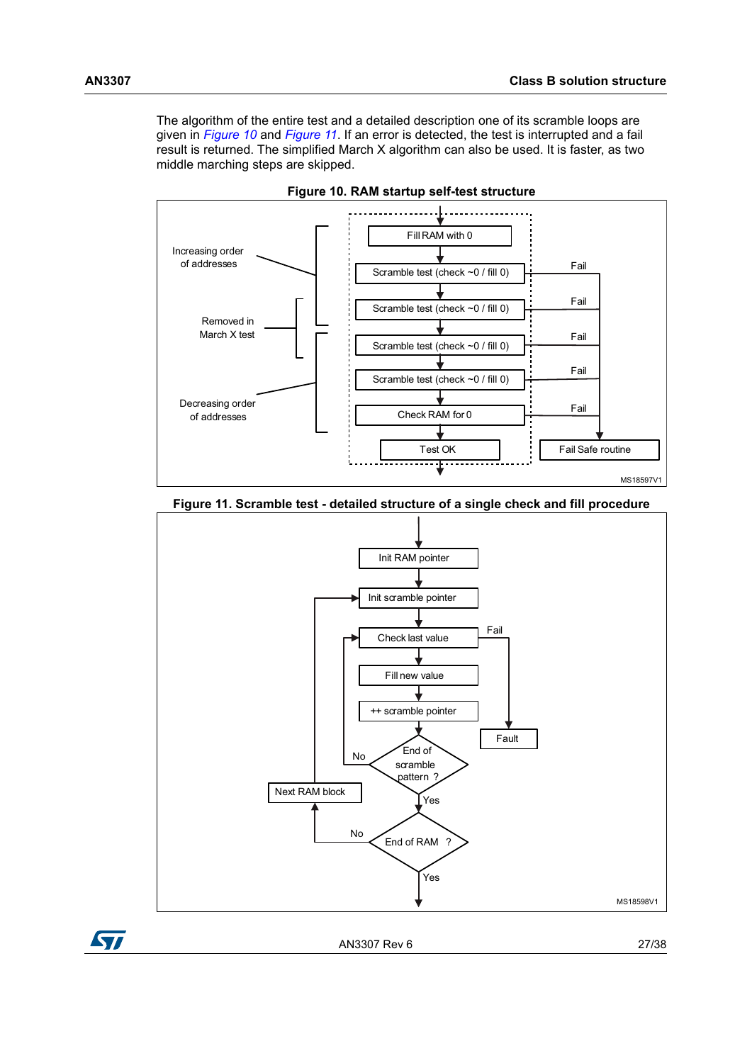The algorithm of the entire test and a detailed description one of its scramble loops are given in *[Figure](#page-26-0) 10* and *[Figure](#page-26-1) 11*. If an error is detected, the test is interrupted and a fail result is returned. The simplified March X algorithm can also be used. It is faster, as two middle marching steps are skipped.

<span id="page-26-0"></span>

**Figure 10. RAM startup self-test structure**

<span id="page-26-1"></span>**Figure 11. Scramble test - detailed structure of a single check and fill procedure**



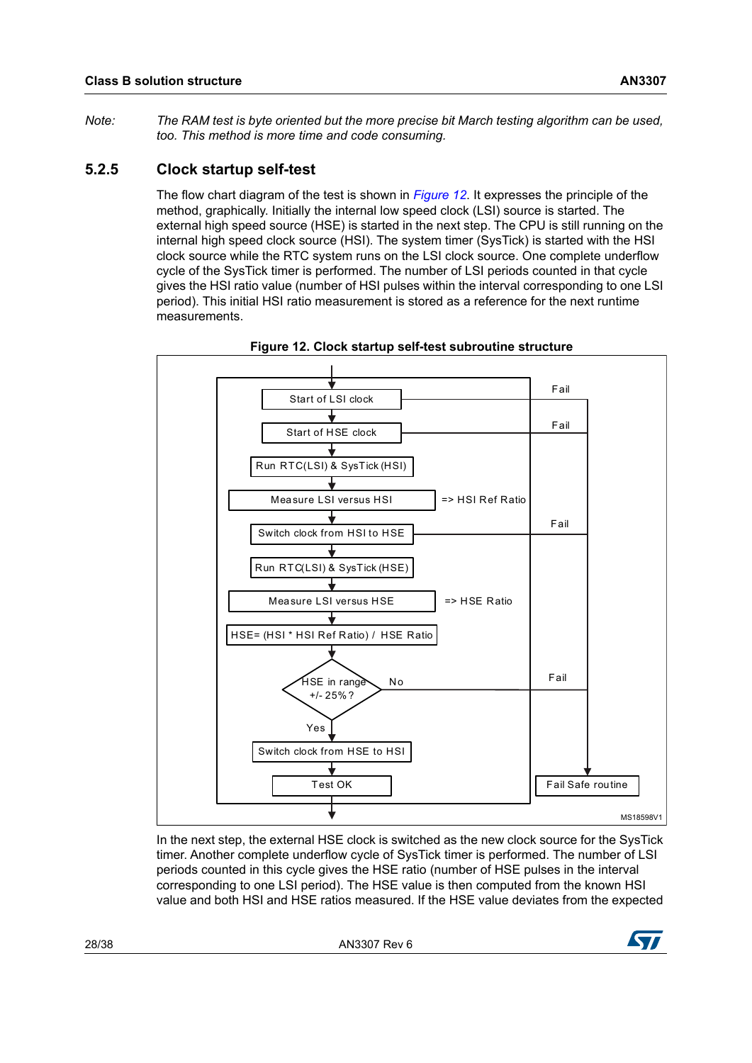*Note: The RAM test is byte oriented but the more precise bit March testing algorithm can be used, too. This method is more time and code consuming.*

#### <span id="page-27-0"></span>**5.2.5 Clock startup self-test**

The flow chart diagram of the test is shown in *[Figure 12](#page-27-1)*. It expresses the principle of the method, graphically. Initially the internal low speed clock (LSI) source is started. The external high speed source (HSE) is started in the next step. The CPU is still running on the internal high speed clock source (HSI). The system timer (SysTick) is started with the HSI clock source while the RTC system runs on the LSI clock source. One complete underflow cycle of the SysTick timer is performed. The number of LSI periods counted in that cycle gives the HSI ratio value (number of HSI pulses within the interval corresponding to one LSI period). This initial HSI ratio measurement is stored as a reference for the next runtime measurements.

<span id="page-27-1"></span>

**Figure 12. Clock startup self-test subroutine structure**

In the next step, the external HSE clock is switched as the new clock source for the SysTick timer. Another complete underflow cycle of SysTick timer is performed. The number of LSI periods counted in this cycle gives the HSE ratio (number of HSE pulses in the interval corresponding to one LSI period). The HSE value is then computed from the known HSI value and both HSI and HSE ratios measured. If the HSE value deviates from the expected

28/38 AN3307 Rev 6

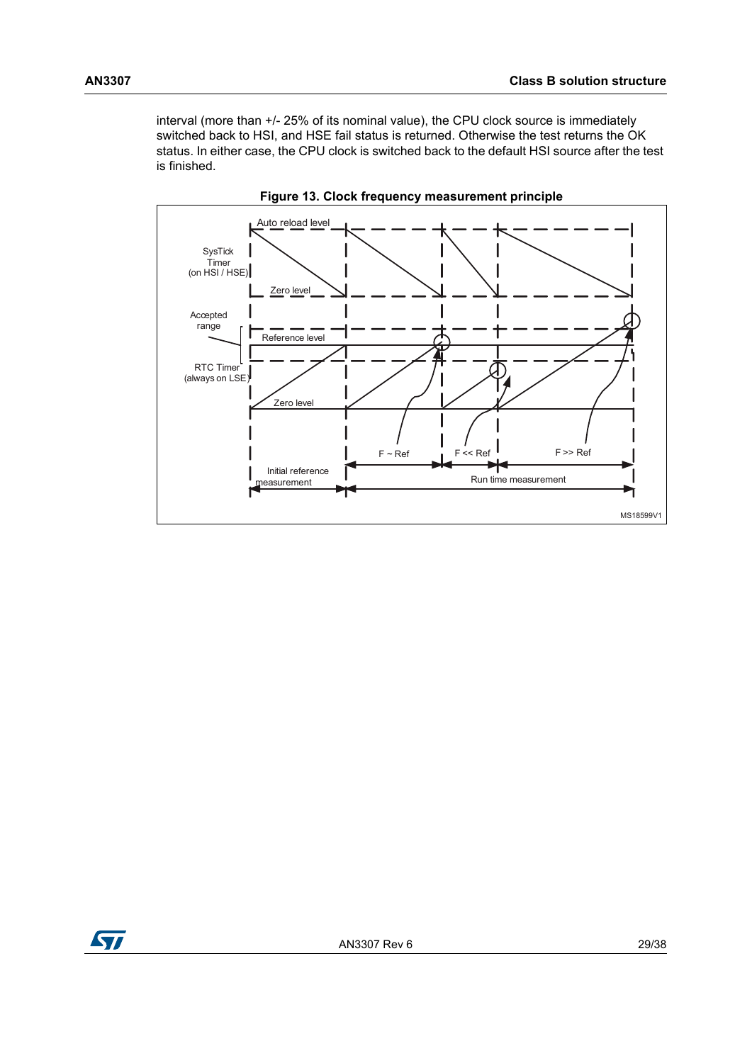interval (more than +/- 25% of its nominal value), the CPU clock source is immediately switched back to HSI, and HSE fail status is returned. Otherwise the test returns the OK status. In either case, the CPU clock is switched back to the default HSI source after the test is finished.

<span id="page-28-0"></span>



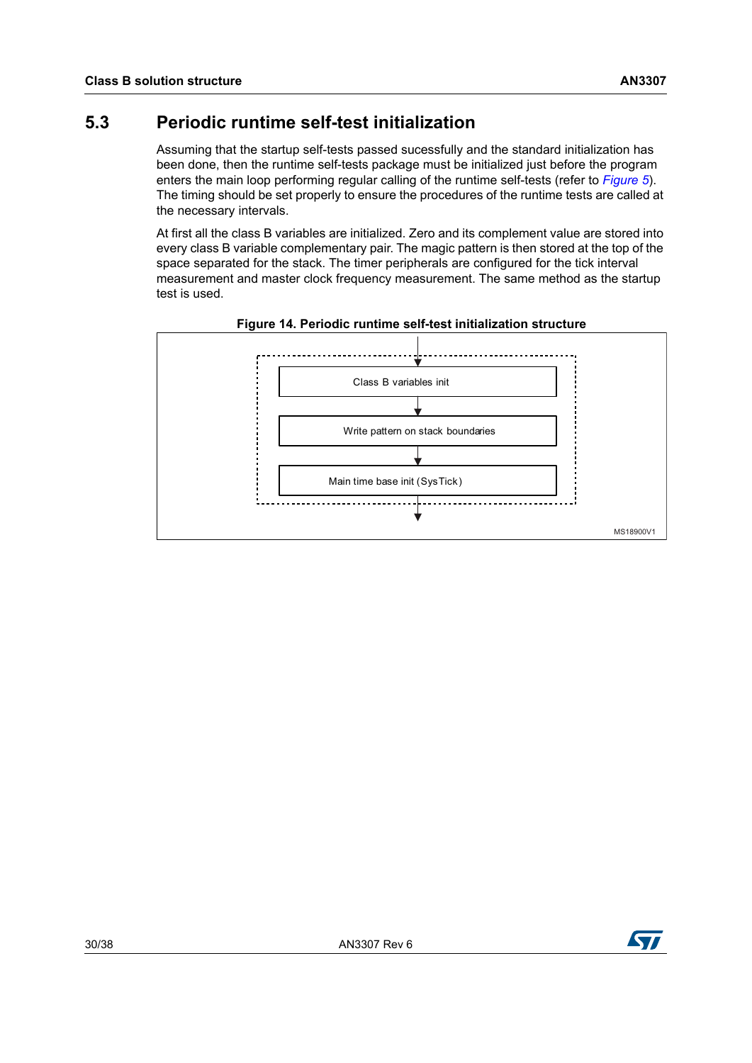## <span id="page-29-0"></span>**5.3 Periodic runtime self-test initialization**

Assuming that the startup self-tests passed sucessfully and the standard initialization has been done, then the runtime self-tests package must be initialized just before the program enters the main loop performing regular calling of the runtime self-tests (refer to *[Figure 5](#page-21-2)*). The timing should be set properly to ensure the procedures of the runtime tests are called at the necessary intervals.

At first all the class B variables are initialized. Zero and its complement value are stored into every class B variable complementary pair. The magic pattern is then stored at the top of the space separated for the stack. The timer peripherals are configured for the tick interval measurement and master clock frequency measurement. The same method as the startup test is used.

<span id="page-29-1"></span>

**Figure 14. Periodic runtime self-test initialization structure**

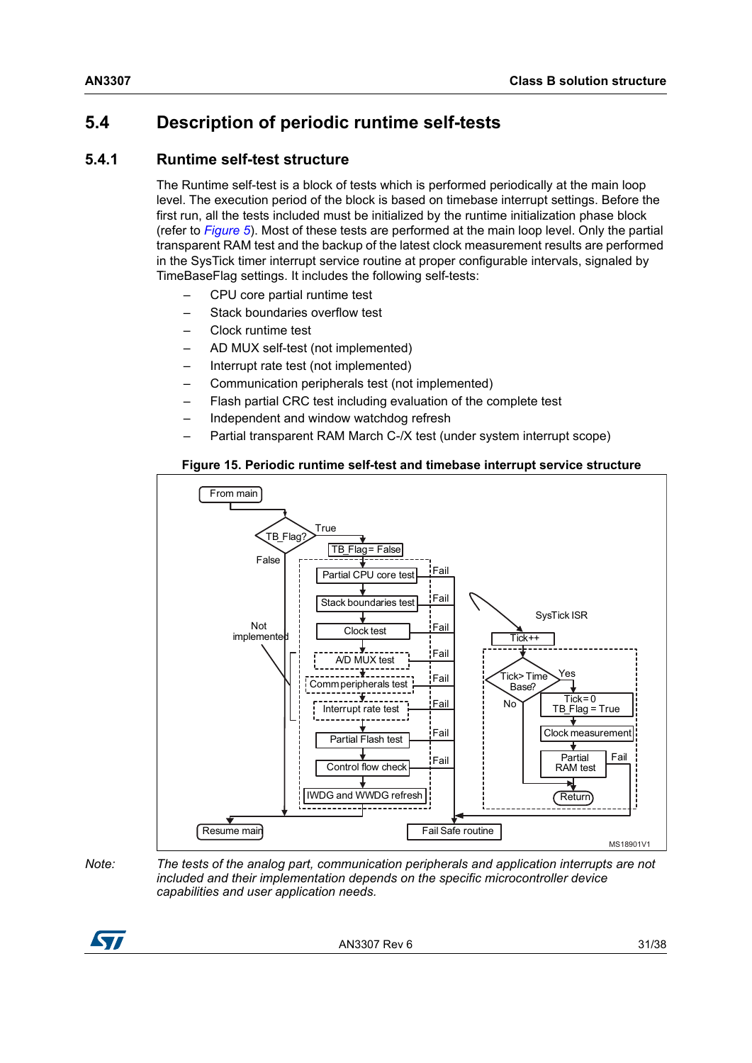## <span id="page-30-0"></span>**5.4 Description of periodic runtime self-tests**

### <span id="page-30-1"></span>**5.4.1 Runtime self-test structure**

The Runtime self-test is a block of tests which is performed periodically at the main loop level. The execution period of the block is based on timebase interrupt settings. Before the first run, all the tests included must be initialized by the runtime initialization phase block (refer to *[Figure 5](#page-21-2)*). Most of these tests are performed at the main loop level. Only the partial transparent RAM test and the backup of the latest clock measurement results are performed in the SysTick timer interrupt service routine at proper configurable intervals, signaled by TimeBaseFlag settings. It includes the following self-tests:

- CPU core partial runtime test
- Stack boundaries overflow test
- Clock runtime test
- AD MUX self-test (not implemented)
- Interrupt rate test (not implemented)
- Communication peripherals test (not implemented)
- Flash partial CRC test including evaluation of the complete test
- Independent and window watchdog refresh
- Partial transparent RAM March C-/X test (under system interrupt scope)

#### **Figure 15. Periodic runtime self-test and timebase interrupt service structure**

<span id="page-30-2"></span>

*Note: The tests of the analog part, communication peripherals and application interrupts are not included and their implementation depends on the specific microcontroller device capabilities and user application needs.*

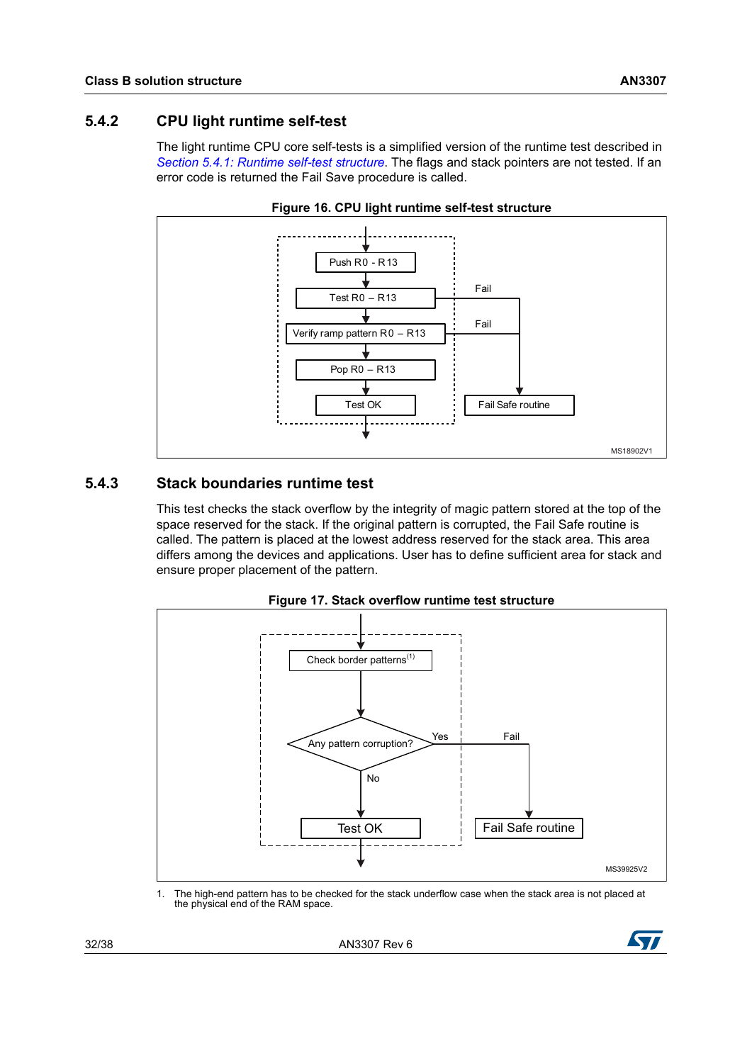<span id="page-31-0"></span>The light runtime CPU core self-tests is a simplified version of the runtime test described in *[Section 5.4.1: Runtime self-test structure](#page-30-1)*. The flags and stack pointers are not tested. If an error code is returned the Fail Save procedure is called.

<span id="page-31-2"></span>



#### <span id="page-31-1"></span>**5.4.3 Stack boundaries runtime test**

This test checks the stack overflow by the integrity of magic pattern stored at the top of the space reserved for the stack. If the original pattern is corrupted, the Fail Safe routine is called. The pattern is placed at the lowest address reserved for the stack area. This area differs among the devices and applications. User has to define sufficient area for stack and ensure proper placement of the pattern.

<span id="page-31-3"></span>

**Figure 17. Stack overflow runtime test structure**

1. The high-end pattern has to be checked for the stack underflow case when the stack area is not placed at the physical end of the RAM space.

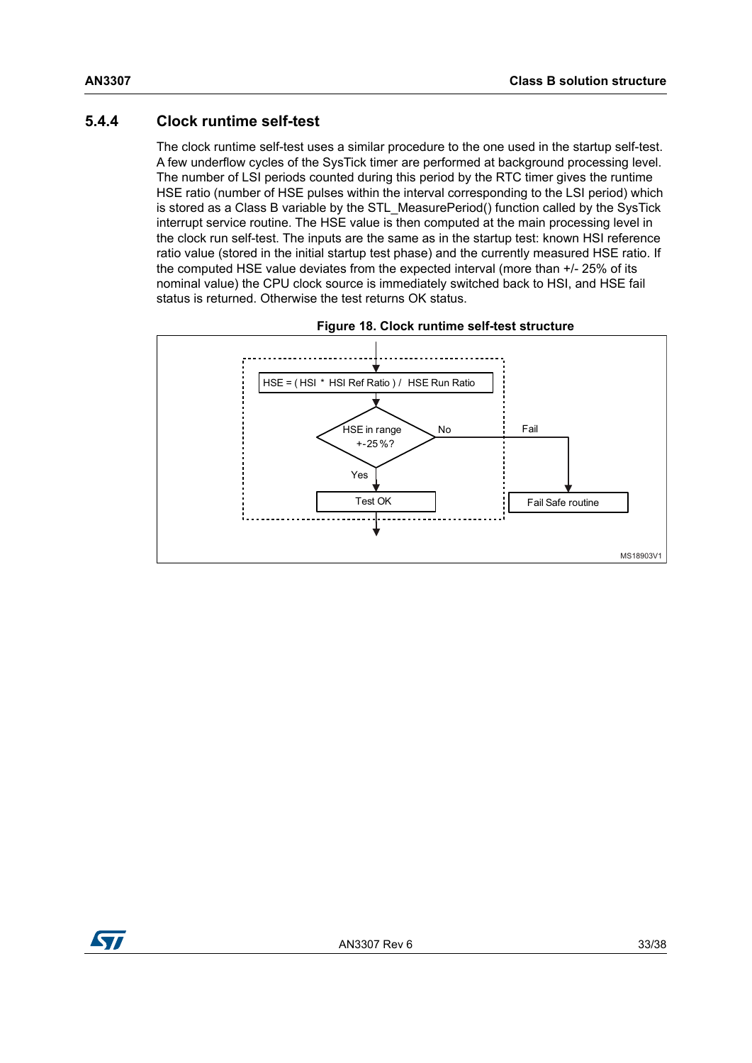#### <span id="page-32-0"></span>**5.4.4 Clock runtime self-test**

The clock runtime self-test uses a similar procedure to the one used in the startup self-test. A few underflow cycles of the SysTick timer are performed at background processing level. The number of LSI periods counted during this period by the RTC timer gives the runtime HSE ratio (number of HSE pulses within the interval corresponding to the LSI period) which is stored as a Class B variable by the STL\_MeasurePeriod() function called by the SysTick interrupt service routine. The HSE value is then computed at the main processing level in the clock run self-test. The inputs are the same as in the startup test: known HSI reference ratio value (stored in the initial startup test phase) and the currently measured HSE ratio. If the computed HSE value deviates from the expected interval (more than +/- 25% of its nominal value) the CPU clock source is immediately switched back to HSI, and HSE fail status is returned. Otherwise the test returns OK status.

<span id="page-32-1"></span>

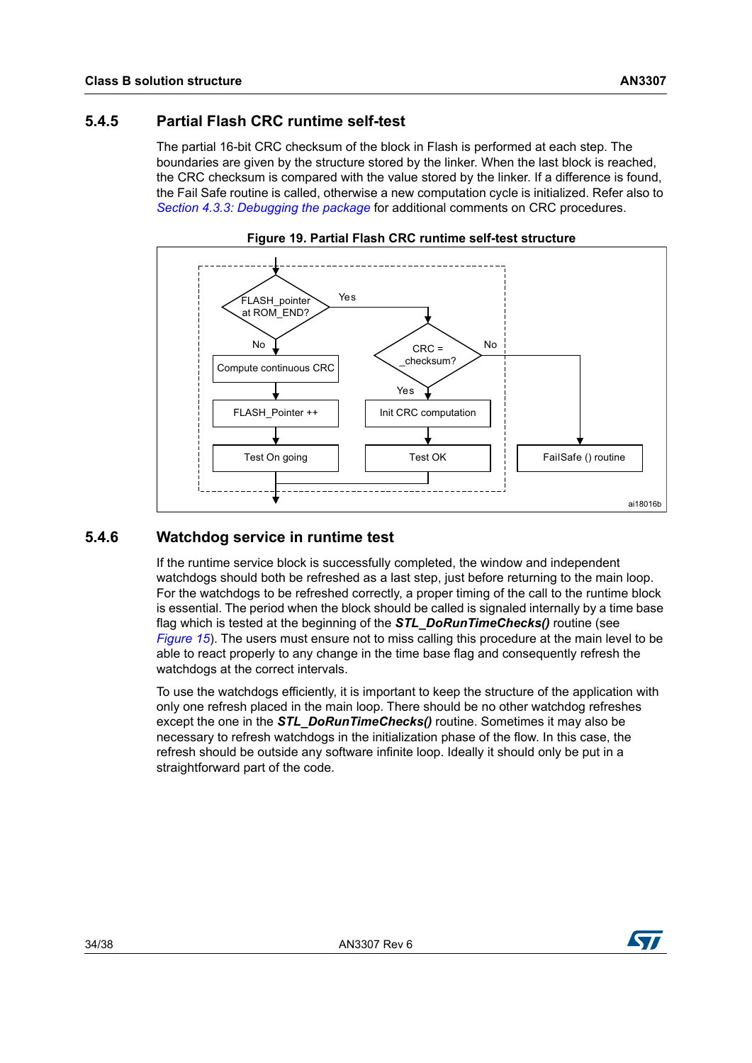#### <span id="page-33-0"></span>**5.4.5 Partial Flash CRC runtime self-test**

The partial 16-bit CRC checksum of the block in Flash is performed at each step. The boundaries are given by the structure stored by the linker. When the last block is reached, the CRC checksum is compared with the value stored by the linker. If a difference is found, the Fail Safe routine is called, otherwise a new computation cycle is initialized. Refer also to *Section [4.3.3: Debugging the package](#page-20-0)* for additional comments on CRC procedures.

<span id="page-33-2"></span>

#### **Figure 19. Partial Flash CRC runtime self-test structure**

#### <span id="page-33-1"></span>**5.4.6 Watchdog service in runtime test**

If the runtime service block is successfully completed, the window and independent watchdogs should both be refreshed as a last step, just before returning to the main loop. For the watchdogs to be refreshed correctly, a proper timing of the call to the runtime block is essential. The period when the block should be called is signaled internally by a time base flag which is tested at the beginning of the *STL\_DoRunTimeChecks()* routine (see *[Figure](#page-30-2) 15*). The users must ensure not to miss calling this procedure at the main level to be able to react properly to any change in the time base flag and consequently refresh the watchdogs at the correct intervals.

To use the watchdogs efficiently, it is important to keep the structure of the application with only one refresh placed in the main loop. There should be no other watchdog refreshes except the one in the *STL\_DoRunTimeChecks()* routine. Sometimes it may also be necessary to refresh watchdogs in the initialization phase of the flow. In this case, the refresh should be outside any software infinite loop. Ideally it should only be put in a straightforward part of the code.

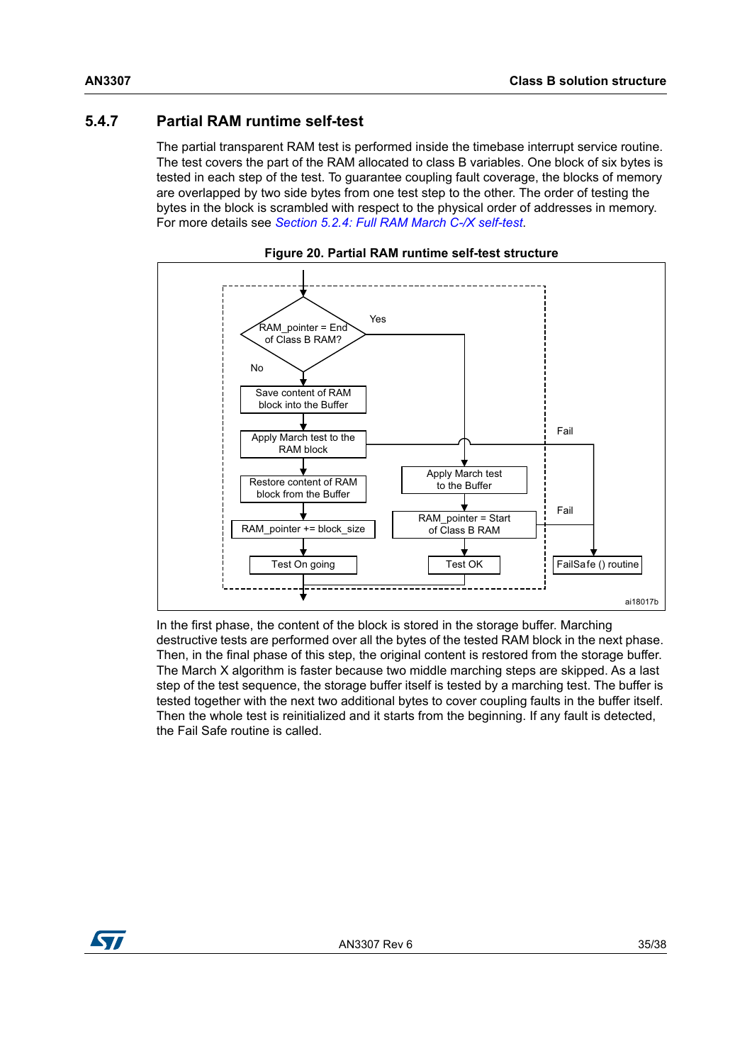## <span id="page-34-0"></span>**5.4.7 Partial RAM runtime self-test**

The partial transparent RAM test is performed inside the timebase interrupt service routine. The test covers the part of the RAM allocated to class B variables. One block of six bytes is tested in each step of the test. To guarantee coupling fault coverage, the blocks of memory are overlapped by two side bytes from one test step to the other. The order of testing the bytes in the block is scrambled with respect to the physical order of addresses in memory. For more details see *Section [5.2.4: Full RAM March C-/X self-test](#page-25-1)*.

<span id="page-34-1"></span>

**Figure 20. Partial RAM runtime self-test structure**

In the first phase, the content of the block is stored in the storage buffer. Marching destructive tests are performed over all the bytes of the tested RAM block in the next phase. Then, in the final phase of this step, the original content is restored from the storage buffer. The March X algorithm is faster because two middle marching steps are skipped. As a last step of the test sequence, the storage buffer itself is tested by a marching test. The buffer is tested together with the next two additional bytes to cover coupling faults in the buffer itself. Then the whole test is reinitialized and it starts from the beginning. If any fault is detected, the Fail Safe routine is called.

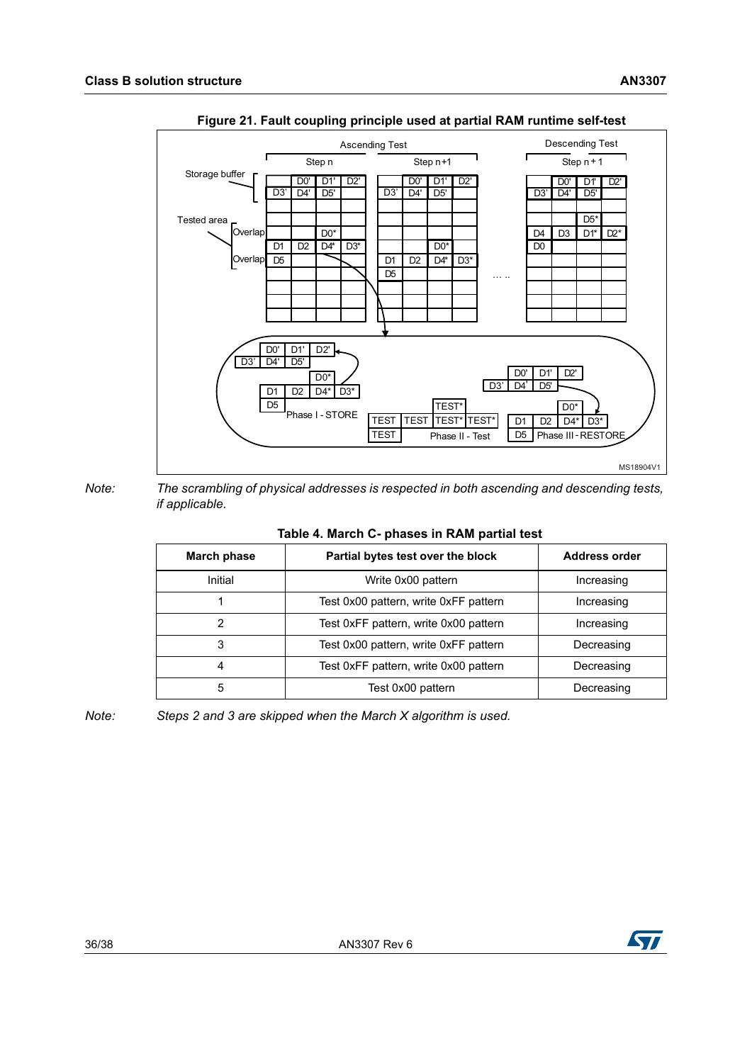<span id="page-35-1"></span>

#### **Figure 21. Fault coupling principle used at partial RAM runtime self-test**

*Note: The scrambling of physical addresses is respected in both ascending and descending tests, if applicable.*

<span id="page-35-0"></span>

| March phase | Partial bytes test over the block     | <b>Address order</b> |
|-------------|---------------------------------------|----------------------|
| Initial     | Write 0x00 pattern                    | Increasing           |
|             | Test 0x00 pattern, write 0xFF pattern | Increasing           |
| 2           | Test 0xFF pattern, write 0x00 pattern | Increasing           |
| 3           | Test 0x00 pattern, write 0xFF pattern | Decreasing           |
| 4           | Test 0xFF pattern, write 0x00 pattern | Decreasing           |
| 5           | Test 0x00 pattern                     | Decreasing           |

#### **Table 4. March C- phases in RAM partial test**

*Note: Steps 2 and 3 are skipped when the March X algorithm is used.*

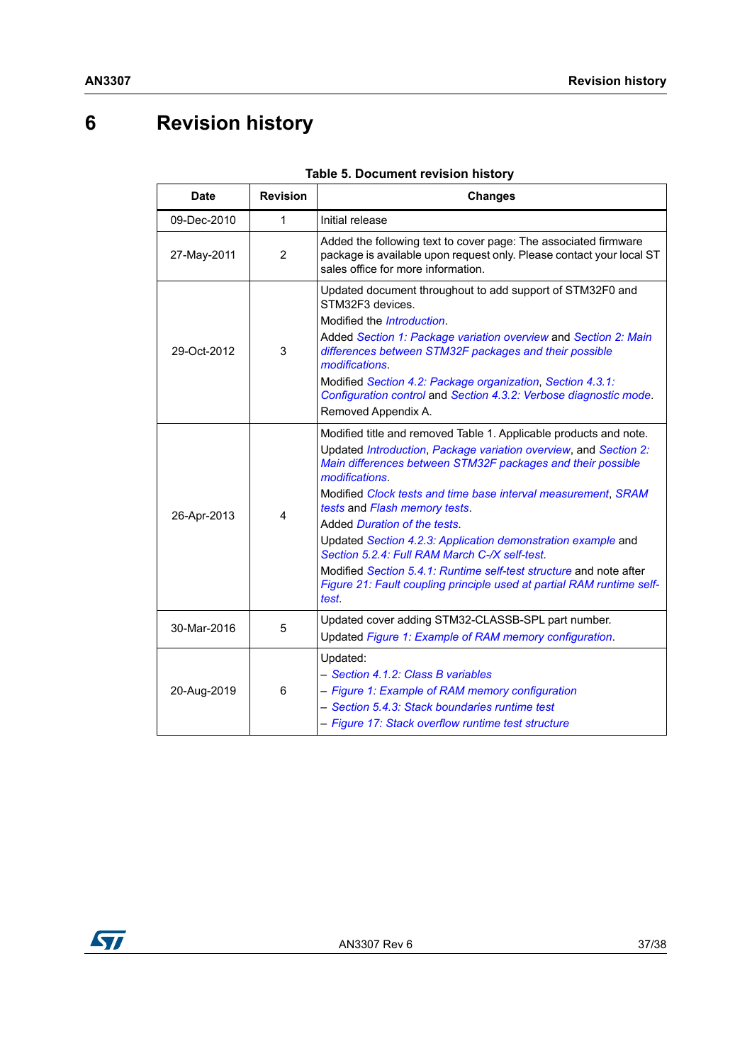# <span id="page-36-0"></span>**6 Revision history**

<span id="page-36-1"></span>

| <b>Date</b> | <b>Revision</b> | <b>Changes</b>                                                                                                                                                                                                                                                                                                                                                                                                                                                                                                                                                                                                                    |
|-------------|-----------------|-----------------------------------------------------------------------------------------------------------------------------------------------------------------------------------------------------------------------------------------------------------------------------------------------------------------------------------------------------------------------------------------------------------------------------------------------------------------------------------------------------------------------------------------------------------------------------------------------------------------------------------|
| 09-Dec-2010 | 1               | Initial release                                                                                                                                                                                                                                                                                                                                                                                                                                                                                                                                                                                                                   |
| 27-May-2011 | 2               | Added the following text to cover page: The associated firmware<br>package is available upon request only. Please contact your local ST<br>sales office for more information.                                                                                                                                                                                                                                                                                                                                                                                                                                                     |
| 29-Oct-2012 | 3               | Updated document throughout to add support of STM32F0 and<br>STM32F3 devices.<br>Modified the <i>Introduction</i> .<br>Added Section 1: Package variation overview and Section 2: Main<br>differences between STM32F packages and their possible<br>modifications.<br>Modified Section 4.2: Package organization, Section 4.3.1:<br>Configuration control and Section 4.3.2: Verbose diagnostic mode.<br>Removed Appendix A.                                                                                                                                                                                                      |
| 26-Apr-2013 | 4               | Modified title and removed Table 1. Applicable products and note.<br>Updated Introduction, Package variation overview, and Section 2:<br>Main differences between STM32F packages and their possible<br>modifications.<br>Modified Clock tests and time base interval measurement, SRAM<br>tests and Flash memory tests.<br>Added Duration of the tests.<br>Updated Section 4.2.3: Application demonstration example and<br>Section 5.2.4: Full RAM March C-/X self-test.<br>Modified Section 5.4.1: Runtime self-test structure and note after<br>Figure 21: Fault coupling principle used at partial RAM runtime self-<br>test. |
| 30-Mar-2016 | 5               | Updated cover adding STM32-CLASSB-SPL part number.<br>Updated Figure 1: Example of RAM memory configuration.                                                                                                                                                                                                                                                                                                                                                                                                                                                                                                                      |
| 20-Aug-2019 | 6               | Updated:<br>- Section 4.1.2: Class B variables<br>- Figure 1: Example of RAM memory configuration<br>- Section 5.4.3: Stack boundaries runtime test<br>- Figure 17: Stack overflow runtime test structure                                                                                                                                                                                                                                                                                                                                                                                                                         |